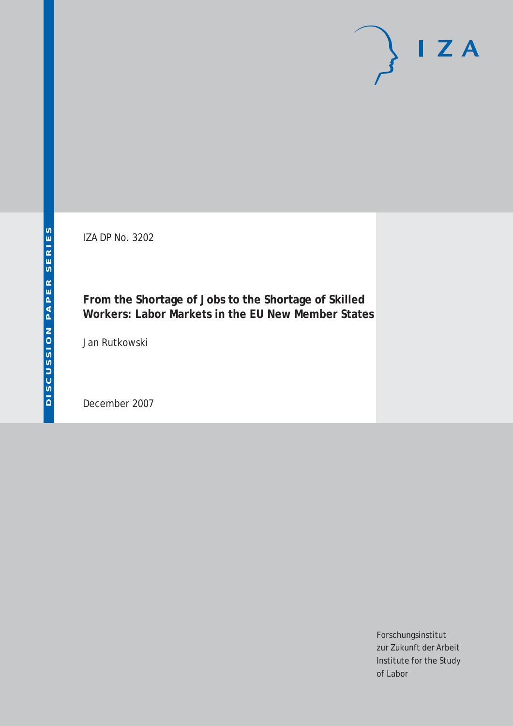IZA DP No. 3202

**From the Shortage of Jobs to the Shortage of Skilled Workers: Labor Markets in the EU New Member States**

Jan Rutkowski

December 2007

Forschungsinstitut zur Zukunft der Arbeit Institute for the Study of Labor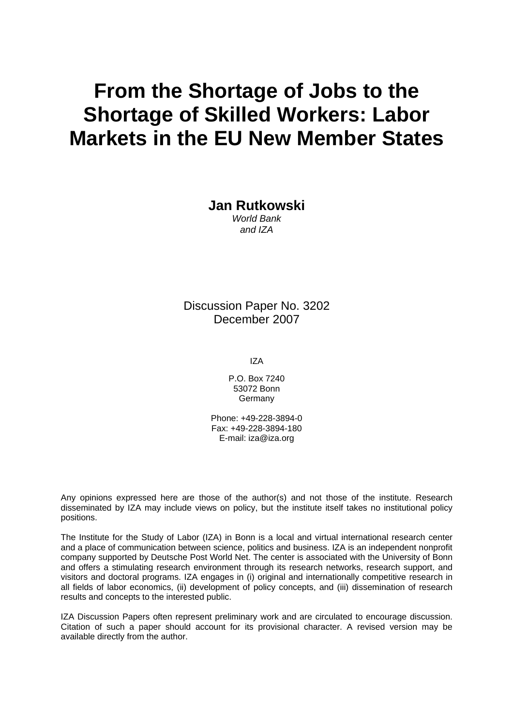# **From the Shortage of Jobs to the Shortage of Skilled Workers: Labor Markets in the EU New Member States**

**Jan Rutkowski** 

*World Bank and IZA* 

Discussion Paper No. 3202 December 2007

IZA

P.O. Box 7240 53072 Bonn Germany

Phone: +49-228-3894-0 Fax: +49-228-3894-180 E-mail: [iza@iza.org](mailto:iza@iza.org)

Any opinions expressed here are those of the author(s) and not those of the institute. Research disseminated by IZA may include views on policy, but the institute itself takes no institutional policy positions.

The Institute for the Study of Labor (IZA) in Bonn is a local and virtual international research center and a place of communication between science, politics and business. IZA is an independent nonprofit company supported by Deutsche Post World Net. The center is associated with the University of Bonn and offers a stimulating research environment through its research networks, research support, and visitors and doctoral programs. IZA engages in (i) original and internationally competitive research in all fields of labor economics, (ii) development of policy concepts, and (iii) dissemination of research results and concepts to the interested public.

IZA Discussion Papers often represent preliminary work and are circulated to encourage discussion. Citation of such a paper should account for its provisional character. A revised version may be available directly from the author.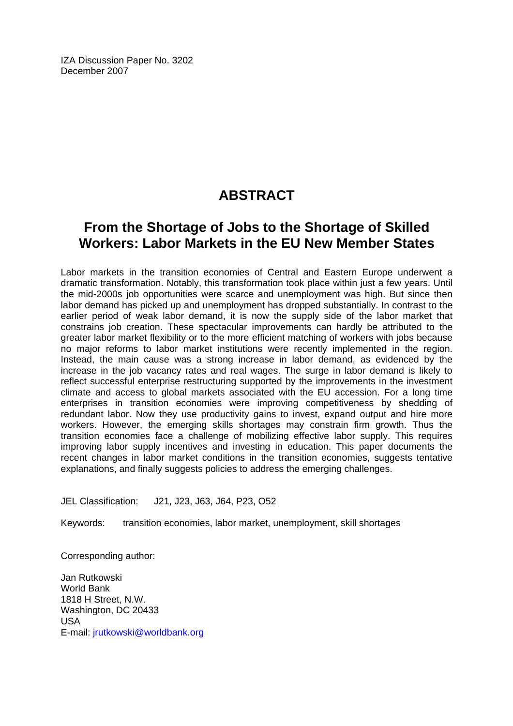IZA Discussion Paper No. 3202 December 2007

## **ABSTRACT**

### **From the Shortage of Jobs to the Shortage of Skilled Workers: Labor Markets in the EU New Member States**

Labor markets in the transition economies of Central and Eastern Europe underwent a dramatic transformation. Notably, this transformation took place within just a few years. Until the mid-2000s job opportunities were scarce and unemployment was high. But since then labor demand has picked up and unemployment has dropped substantially. In contrast to the earlier period of weak labor demand, it is now the supply side of the labor market that constrains job creation. These spectacular improvements can hardly be attributed to the greater labor market flexibility or to the more efficient matching of workers with jobs because no major reforms to labor market institutions were recently implemented in the region. Instead, the main cause was a strong increase in labor demand, as evidenced by the increase in the job vacancy rates and real wages. The surge in labor demand is likely to reflect successful enterprise restructuring supported by the improvements in the investment climate and access to global markets associated with the EU accession. For a long time enterprises in transition economies were improving competitiveness by shedding of redundant labor. Now they use productivity gains to invest, expand output and hire more workers. However, the emerging skills shortages may constrain firm growth. Thus the transition economies face a challenge of mobilizing effective labor supply. This requires improving labor supply incentives and investing in education. This paper documents the recent changes in labor market conditions in the transition economies, suggests tentative explanations, and finally suggests policies to address the emerging challenges.

JEL Classification: J21, J23, J63, J64, P23, O52

Keywords: transition economies, labor market, unemployment, skill shortages

Corresponding author:

Jan Rutkowski World Bank 1818 H Street, N.W. Washington, DC 20433 USA E-mail: [jrutkowski@worldbank.org](mailto:jrutkowski@worldbank.org)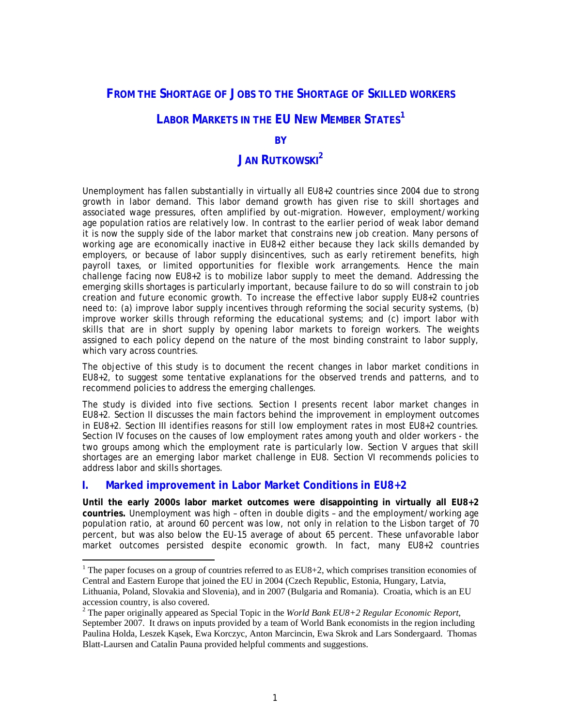#### **FROM THE SHORTAGE OF JOBS TO THE SHORTAGE OF SKILLED WORKERS**

### **LABOR MARKETS IN THE EU NEW MEMBER STATES**<sup>[1](#page-3-0)</sup>

#### **BY**

### **JAN RUTKOWSKI**<sup>[2](#page-3-1)</sup>

Unemployment has fallen substantially in virtually all EU8+2 countries since 2004 due to strong growth in labor demand. This labor demand growth has given rise to skill shortages and associated wage pressures, often amplified by out-migration. However, employment/working age population ratios are relatively low. In contrast to the earlier period of weak labor demand it is now the supply side of the labor market that constrains new job creation. Many persons of working age are economically inactive in EU8+2 either because they lack skills demanded by employers, or because of labor supply disincentives, such as early retirement benefits, high payroll taxes, or limited opportunities for flexible work arrangements. Hence the main challenge facing now EU8+2 is to mobilize labor supply to meet the demand. Addressing the emerging skills shortages is particularly important, because failure to do so will constrain to job creation and future economic growth. To increase the *effective* labor supply EU8+2 countries need to: (a) improve labor supply incentives through reforming the social security systems, (b) improve worker skills through reforming the educational systems; and (c) import labor with skills that are in short supply by opening labor markets to foreign workers. The weights assigned to each policy depend on the nature of the most binding constraint to labor supply, which vary across countries.

The objective of this study is to document the recent changes in labor market conditions in EU8+2, to suggest some tentative explanations for the observed trends and patterns, and to recommend policies to address the emerging challenges.

The study is divided into five sections. Section I presents recent labor market changes in EU8+2. Section II discusses the main factors behind the improvement in employment outcomes in EU8+2. Section III identifies reasons for still low employment rates in most EU8+2 countries. Section IV focuses on the causes of low employment rates among youth and older workers - the two groups among which the employment rate is particularly low. Section V argues that skill shortages are an emerging labor market challenge in EU8. Section VI recommends policies to address labor and skills shortages.

#### **I. Marked improvement in Labor Market Conditions in EU8+2**

 $\overline{a}$ 

**Until the early 2000s labor market outcomes were disappointing in virtually all EU8+2 countries.** Unemployment was high – often in double digits – and the employment/working age population ratio, at around 60 percent was low, not only in relation to the Lisbon target of 70 percent, but was also below the EU-15 average of about 65 percent. These unfavorable labor market outcomes persisted despite economic growth. In fact, many EU8+2 countries

<span id="page-3-0"></span><sup>&</sup>lt;sup>1</sup> The paper focuses on a group of countries referred to as EU8+2, which comprises transition economies of Central and Eastern Europe that joined the EU in 2004 (Czech Republic, Estonia, Hungary, Latvia,

Lithuania, Poland, Slovakia and Slovenia), and in 2007 (Bulgaria and Romania). Croatia, which is an EU accession country, is also covered.

<span id="page-3-1"></span><sup>&</sup>lt;sup>2</sup> The paper originally appeared as Special Topic in the *World Bank EU8+2 Regular Economic Report*, September 2007. It draws on inputs provided by a team of World Bank economists in the region including Paulina Holda, Leszek Kąsek, Ewa Korczyc, Anton Marcincin, Ewa Skrok and Lars Sondergaard. Thomas Blatt-Laursen and Catalin Pauna provided helpful comments and suggestions.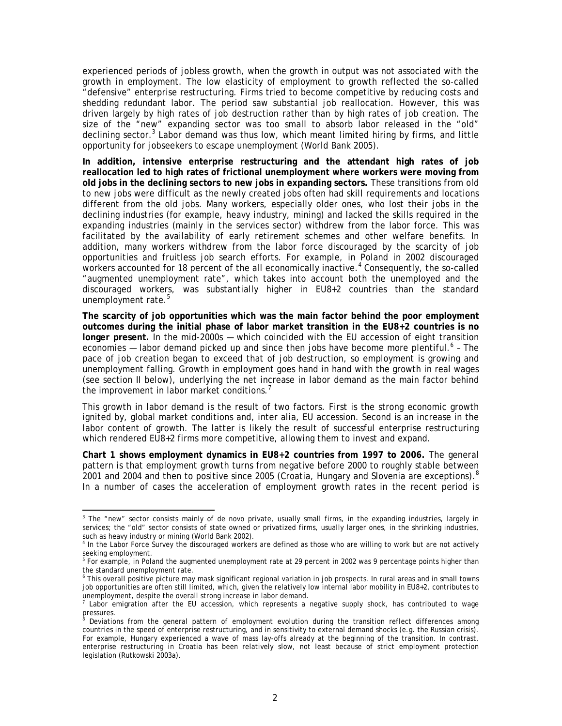experienced periods of jobless growth, when the growth in output was not associated with the growth in employment. The low elasticity of employment to growth reflected the so-called "defensive" enterprise restructuring. Firms tried to become competitive by reducing costs and shedding redundant labor. The period saw substantial job reallocation. However, this was driven largely by high rates of job destruction rather than by high rates of job creation. The size of the "new" expanding sector was too small to absorb labor released in the "old" decliningsector.<sup>3</sup> Labor demand was thus low, which meant limited hiring by firms, and little opportunity for jobseekers to escape unemployment (World Bank 2005).

**In addition, intensive enterprise restructuring and the attendant high rates of job reallocation led to high rates of frictional unemployment where workers were moving from old jobs in the declining sectors to new jobs in expanding sectors.** These transitions from old to new jobs were difficult as the newly created jobs often had skill requirements and locations different from the old jobs. Many workers, especially older ones, who lost their jobs in the declining industries (for example, heavy industry, mining) and lacked the skills required in the expanding industries (mainly in the services sector) withdrew from the labor force. This was facilitated by the availability of early retirement schemes and other welfare benefits. In addition, many workers withdrew from the labor force discouraged by the scarcity of job opportunities and fruitless job search efforts. For example, in Poland in 2002 discouraged workers accounted for 18 percent of the all economically inactive.<sup>4</sup> [C](#page-4-1)onsequently, the so-called "augmented unemployment rate", which takes into account both the unemployed and the discouraged workers, was substantially higher in EU8+2 countries than the standard unemploymentrate.<sup>5</sup>

**The scarcity of job opportunities which was the main factor behind the poor employment outcomes during the initial phase of labor market transition in the EU8+2 countries is no longer present.** In the mid-2000s — which coincided with the EU accession of eight transition economies $-$  labor demand picked up and since then jobs have become more plentiful.<sup>6</sup> - The pace of job creation began to exceed that of job destruction, so employment is growing and unemployment falling. Growth in employment goes hand in hand with the growth in real wages (see section II below), underlying the net increase in labor demand as the main factor behind theimprovement in labor market conditions.<sup>7</sup>

This growth in labor demand is the result of two factors. First is the strong economic growth ignited by, global market conditions and, inter alia, EU accession. Second is an increase in the labor content of growth. The latter is likely the result of successful enterprise restructuring which rendered EU8+2 firms more competitive, allowing them to invest and expand.

**[Chart 1](#page-5-0) shows employment dynamics in EU8+2 countries from 1997 to 2006.** The general pattern is that employment growth turns from negative before 2000 to roughly stable between 2001 and 2004 and then to positive since 2005 (Croatia, Hungary and Slovenia are exceptions).<sup>[8](#page-4-5)</sup> In a number of cases the acceleration of employment growth rates in the recent period is

<span id="page-4-0"></span>a<br><sup>3</sup> The "new" sector consists mainly of *de novo* private, usually small firms, in the expanding industries, largely in services; the "old" sector consists of state owned or privatized firms, usually larger ones, in the shrinking industries, such as heavy industry or mining (World Bank 2002).

<span id="page-4-1"></span><sup>&</sup>lt;sup>4</sup> In the Labor Force Survey the discouraged workers are defined as those who are willing to work but are not actively seeking employment.

<span id="page-4-2"></span><sup>&</sup>lt;sup>5</sup> For example, in Poland the augmented unemployment rate at 29 percent in 2002 was 9 percentage points higher than the standard unemployment rate.

<span id="page-4-3"></span><sup>&</sup>lt;sup>6</sup> This overall positive picture may mask significant regional variation in job prospects. In rural areas and in small towns job opportunities are often still limited, which, given the relatively low internal labor mobility in EU8+2, contributes to unemployment, despite the overall strong increase in labor demand.

<span id="page-4-4"></span>pressures.<br><sup>8</sup> Doviation 7 Labor emigration after the EU accession, which represents a negative supply shock, has contributed to wage

<span id="page-4-5"></span>Deviations from the general pattern of employment evolution during the transition reflect differences among countries in the speed of enterprise restructuring, and in sensitivity to external demand shocks (e.g. the Russian crisis). For example, Hungary experienced a wave of mass lay-offs already at the beginning of the transition. In contrast, enterprise restructuring in Croatia has been relatively slow, not least because of strict employment protection legislation (Rutkowski 2003a).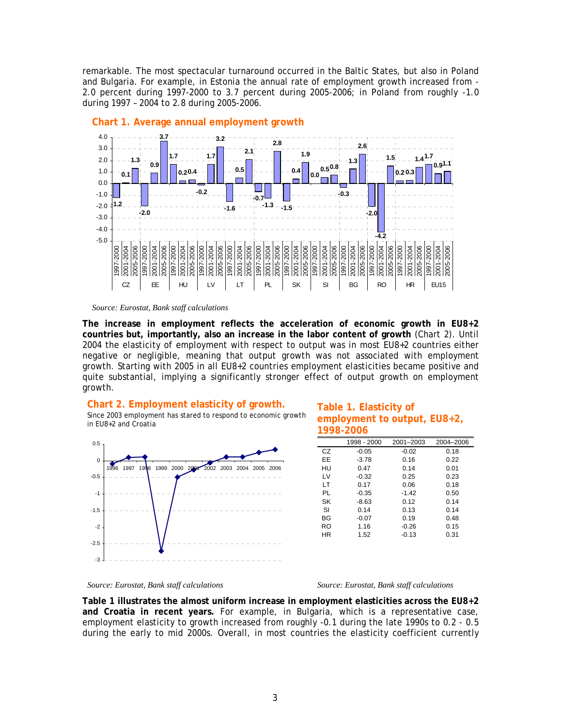remarkable. The most spectacular turnaround occurred in the Baltic States, but also in Poland and Bulgaria. For example, in Estonia the annual rate of employment growth increased from - 2.0 percent during 1997-2000 to 3.7 percent during 2005-2006; in Poland from roughly -1.0 during 1997 – 2004 to 2.8 during 2005-2006.



#### <span id="page-5-0"></span>**Chart 1. Average annual employment growth**

#### *Source: Eurostat, Bank staff calculations*

**The increase in employment reflects the acceleration of economic growth in EU8+2 countries but, importantly, also an increase in the labor content of growth** [\(Chart 2\)](#page-5-1). Until 2004 the elasticity of employment with respect to output was in most EU8+2 countries either negative or negligible, meaning that output growth was not associated with employment growth. Starting with 2005 in all EU8+2 countries employment elasticities became positive and quite substantial, implying a significantly stronger effect of output growth on employment growth.

#### <span id="page-5-1"></span>**Chart 2. Employment elasticity of growth.**

Since 2003 employment has stared to respond to economic growth in EU8+2 and Croatia



#### <span id="page-5-2"></span>**Table 1. Elasticity of employment to output, EU8+2, 1998-2006**

|    | 1998 - 2000 | 2001-2003 | 2004-2006 |
|----|-------------|-----------|-----------|
| CZ | $-0.05$     | $-0.02$   | 0.18      |
| EE | $-3.78$     | 0.16      | 0.22      |
| HU | 0.47        | 0.14      | 0.01      |
| LV | $-0.32$     | 0.25      | 0.23      |
| LT | 0.17        | 0.06      | 0.18      |
| PL | $-0.35$     | $-1.42$   | 0.50      |
| SK | $-8.63$     | 0.12      | 0.14      |
| SI | 0.14        | 0.13      | 0.14      |
| BG | $-0.07$     | 0.19      | 0.48      |
| RO | 1.16        | $-0.26$   | 0.15      |
| ΗR | 1.52        | $-0.13$   | 0.31      |

#### *Source: Eurostat, Bank staff calculations Source: Eurostat, Bank staff calculations*

**[Table 1](#page-5-2) illustrates the almost uniform increase in employment elasticities across the EU8+2 and Croatia in recent years.** For example, in Bulgaria, which is a representative case, employment elasticity to growth increased from roughly -0.1 during the late 1990s to 0.2 - 0.5 during the early to mid 2000s. Overall, in most countries the elasticity coefficient currently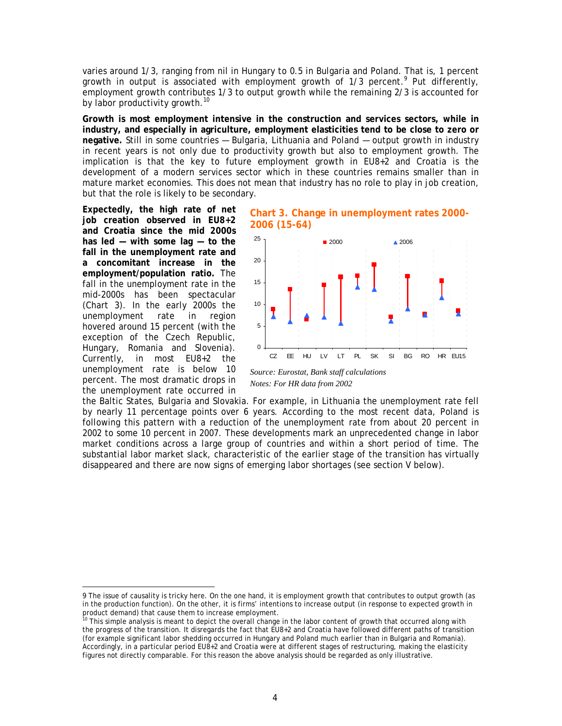varies around 1/3, ranging from nil in Hungary to 0.5 in Bulgaria and Poland. That is, 1 percent growthin output is associated with employment growth of 1/3 percent. Put differently, employment growth contributes 1/3 to output growth while the remaining 2/3 is accounted for by labor productivity growth.<sup>10</sup>

**Growth is most employment intensive in the construction and services sectors, while in industry, and especially in agriculture, employment elasticities tend to be close to zero or negative.** Still in some countries — Bulgaria, Lithuania and Poland — output growth in industry in recent years is not only due to productivity growth but also to employment growth. The implication is that the key to future employment growth in EU8+2 and Croatia is the development of a modern services sector which in these countries remains smaller than in mature market economies. This does not mean that industry has no role to play in job creation, but that the role is likely to be secondary.

**Expectedly, the high rate of net job creation observed in EU8+2 and Croatia since the mid 2000s has led — with some lag — to the fall in the unemployment rate and a concomitant increase in the employment/population ratio.** The fall in the unemployment rate in the mid-2000s has been spectacular ([Chart 3](#page-6-0)). In the early 2000s the unemployment rate in region hovered around 15 percent (with the exception of the Czech Republic, Hungary, Romania and Slovenia). Currently, in most EU8+2 the unemployment rate is below 10 percent. The most dramatic drops in the unemployment rate occurred in

 $\overline{a}$ 

<span id="page-6-0"></span>



*Source: Eurostat, Bank staff calculations Notes: For HR data from 2002* 

the Baltic States, Bulgaria and Slovakia. For example, in Lithuania the unemployment rate fell by nearly 11 percentage points over 6 years. According to the most recent data, Poland is following this pattern with a reduction of the unemployment rate from about 20 percent in 2002 to some 10 percent in 2007. These developments mark an unprecedented change in labor market conditions across a large group of countries and within a short period of time. The substantial labor market slack, characteristic of the earlier stage of the transition has virtually disappeared and there are now signs of emerging labor shortages (see section V below).

<span id="page-6-1"></span><sup>9</sup> The issue of causality is tricky here. On the one hand, it is employment growth that contributes to output growth (as in the production function). On the other, it is firms' intentions to increase output (in response to expected growth in product demand) that cause them to increase employment.

<sup>10</sup>This simple analysis is meant to depict the overall change in the labor content of growth that occurred along with the progress of the transition. It disregards the fact that EU8+2 and Croatia have followed different paths of transition (for example significant labor shedding occurred in Hungary and Poland much earlier than in Bulgaria and Romania). Accordingly, in a particular period EU8+2 and Croatia were at different stages of restructuring, making the elasticity figures not directly comparable. For this reason the above analysis should be regarded as only illustrative.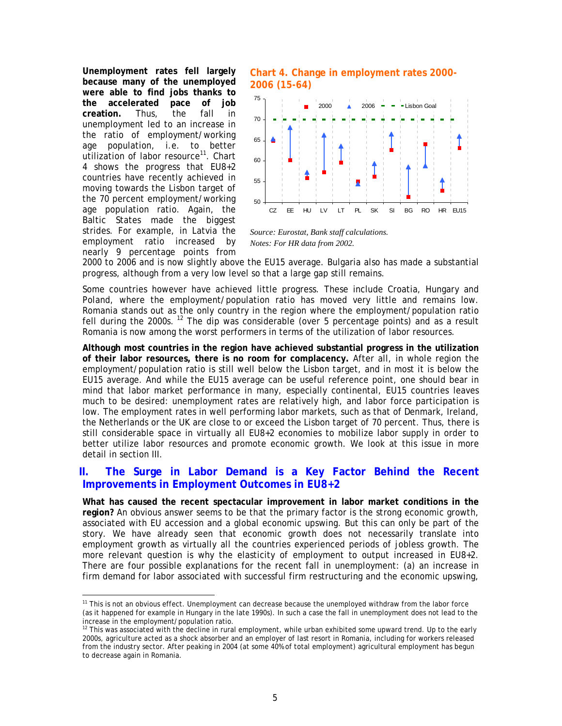**Unemployment rates fell largely because many of the unemployed were able to find jobs thanks to the accelerated pace of job creation.** Thus, the fall in unemployment led to an increase in the ratio of employment/working age population, i.e. to better u[tilization of labor resource](#page-7-0)<sup>[11](#page-7-1)</sup>. Chart 4 shows the progress that EU8+2 countries have recently achieved in moving towards the Lisbon target of the 70 percent employment/working age population ratio. Again, the Baltic States made the biggest strides. For example, in Latvia the employment ratio increased by nearly 9 percentage points from

<span id="page-7-0"></span>**Chart 4. Change in employment rates 2000- 2006 (15-64)** 



*Source: Eurostat, Bank staff calculations. Notes: For HR data from 2002.* 

2000 to 2006 and is now slightly above the EU15 average. Bulgaria also has made a substantial progress, although from a very low level so that a large gap still remains.

Some countries however have achieved little progress. These include Croatia, Hungary and Poland, where the employment/population ratio has moved very little and remains low. Romania stands out as the only country in the region where the employment/population ratio fell during the 2000s.<sup>[12](#page-7-2)</sup> The dip was considerable (over 5 percentage points) and as a result Romania is now among the worst performers in terms of the utilization of labor resources.

**Although most countries in the region have achieved substantial progress in the utilization of their labor resources, there is no room for complacency.** After all, in whole region the employment/population ratio is still well below the Lisbon target, and in most it is below the EU15 average. And while the EU15 average can be useful reference point, one should bear in mind that labor market performance in many, especially continental, EU15 countries leaves much to be desired: unemployment rates are relatively high, and labor force participation is low. The employment rates in well performing labor markets, such as that of Denmark, Ireland, the Netherlands or the UK are close to or exceed the Lisbon target of 70 percent. Thus, there is still considerable space in virtually all EU8+2 economies to mobilize labor supply in order to better utilize labor resources and promote economic growth. We look at this issue in more detail in section III.

#### **II. The Surge in Labor Demand is a Key Factor Behind the Recent Improvements in Employment Outcomes in EU8+2**

**What has caused the recent spectacular improvement in labor market conditions in the region?** An obvious answer seems to be that the primary factor is the strong economic growth, associated with EU accession and a global economic upswing. But this can only be part of the story. We have already seen that economic growth does not necessarily translate into employment growth as virtually all the countries experienced periods of jobless growth. The more relevant question is why the elasticity of employment to output increased in EU8+2. There are four possible explanations for the recent fall in unemployment: (a) an increase in firm demand for labor associated with successful firm restructuring and the economic upswing,

<span id="page-7-1"></span>This is not an obvious effect. Unemployment can decrease because the unemployed withdraw from the labor force (as it happened for example in Hungary in the late 1990s). In such a case the fall in unemployment does not lead to the increase in the employment/population ratio.

<span id="page-7-2"></span> $12$  This was associated with the decline in rural employment, while urban exhibited some upward trend. Up to the early 2000s, agriculture acted as a shock absorber and an employer of last resort in Romania, including for workers released from the industry sector. After peaking in 2004 (at some 40% of total employment) agricultural employment has begun to decrease again in Romania.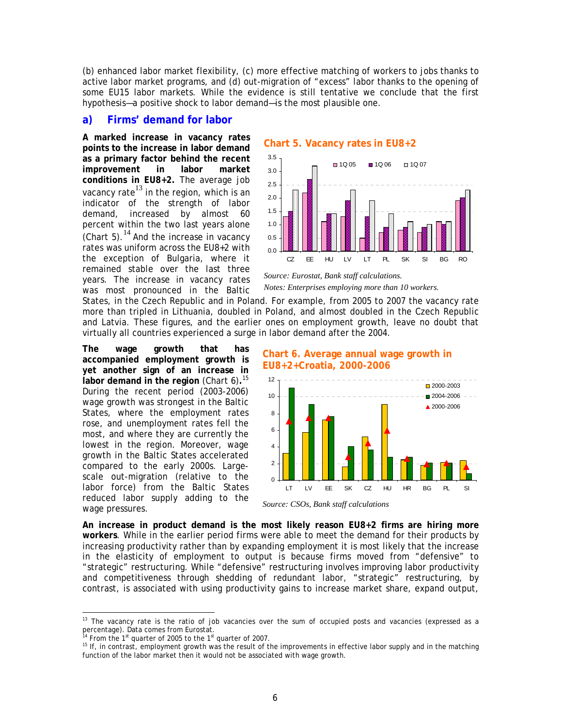(b) enhanced labor market flexibility, (c) more effective matching of workers to jobs thanks to active labor market programs, and (d) out-migration of "excess" labor thanks to the opening of some EU15 labor markets. While the evidence is still tentative we conclude that the first hypothesis—a positive shock to labor demand—is the most plausible one.

#### **a) Firms' demand for labor**

**A marked increase in vacancy rates points to the increase in labor demand as a primary factor behind the recent improvement in labor market conditions in EU8+2.** The average job vacancy rate<sup>[13](#page-8-2)</sup> in the region, which is an indicator of the strength of labor demand, increased by almost 60 percent within the two last years alone ([Chart 5\)](#page-8-0). $^{14}$  $^{14}$  $^{14}$  And the increase in vacancy rates was uniform across the EU8+2 with the exception of Bulgaria, where it remained stable over the last three years. The increase in vacancy rates was most pronounced in the Baltic

<span id="page-8-0"></span>



*Source: Eurostat, Bank staff calculations. Notes: Enterprises employing more than 10 workers.* 

States, in the Czech Republic and in Poland. For example, from 2005 to 2007 the vacancy rate more than tripled in Lithuania, doubled in Poland, and almost doubled in the Czech Republic and Latvia. These figures, and the earlier ones on employment growth, leave no doubt that virtually all countries experienced a surge in labor demand after the 2004.

**The wage growth that has accompanied employment growth is yet another sign of an increase in**  labor demand in the region [\(Chart 6\)](#page-8-1).<sup>[15](#page-8-4)</sup> During the recent period (2003-2006) wage growth was strongest in the Baltic States, where the employment rates rose, and unemployment rates fell the most, and where they are currently the lowest in the region. Moreover, wage growth in the Baltic States accelerated compared to the early 2000s. Largescale out-migration (relative to the labor force) from the Baltic States reduced labor supply adding to the wage pressures.

#### <span id="page-8-1"></span>**Chart 6. Average annual wage growth in EU8+2+Croatia, 2000-2006**



*Source: CSOs, Bank staff calculations* 

**An increase in product demand is the most likely reason EU8+2 firms are hiring more workers**. While in the earlier period firms were able to meet the demand for their products by increasing productivity rather than by expanding employment it is most likely that the increase in the elasticity of employment to output is because firms moved from "defensive" to "strategic" restructuring. While "defensive" restructuring involves improving labor productivity and competitiveness through shedding of redundant labor, "strategic" restructuring, by contrast, is associated with using productivity gains to increase market share, expand output,

<span id="page-8-2"></span>The vacancy rate is the ratio of job vacancies over the sum of occupied posts and vacancies (expressed as a percentage). Data comes from Eurostat.<br><sup>14</sup> From the 1<sup>st</sup> quarter of 2005 to the 1<sup>st</sup> quarter of 2007.

<span id="page-8-3"></span>

<span id="page-8-4"></span><sup>&</sup>lt;sup>15</sup> If, in contrast, employment growth was the result of the improvements in effective labor supply and in the matching function of the labor market then it would not be associated with wage growth.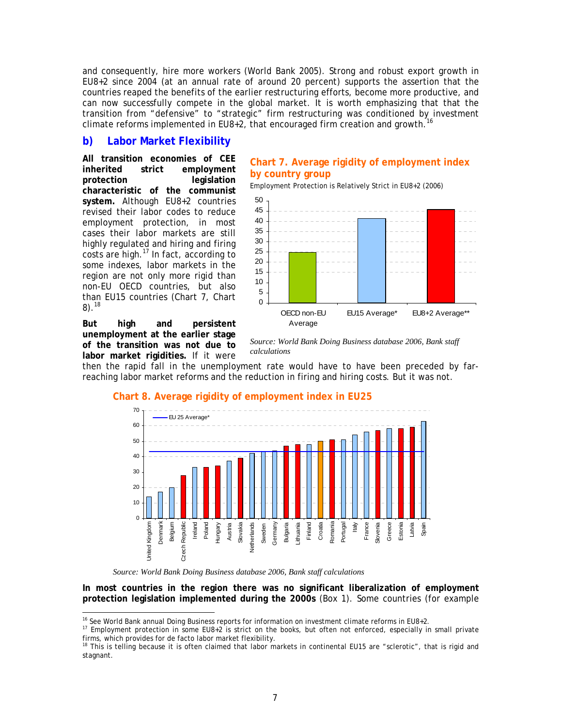and consequently, hire more workers (World Bank 2005). Strong and robust export growth in EU8+2 since 2004 (at an annual rate of around 20 percent) supports the assertion that the countries reaped the benefits of the earlier restructuring efforts, become more productive, and can now successfully compete in the global market. It is worth emphasizing that that the transition from "defensive" to "strategic" firm restructuring was conditioned by investment climate reforms implemented in EU8+2, that encouraged firm creation and growth.<sup>[16](#page-9-1)</sup>

#### **b) Labor Market Flexibility**

**All transition economies of CEE inherited strict employment protection legislation characteristic of the communist system.** Although EU8+2 countries revised their labor codes to reduce employment protection, in most cases their labor markets are still highly regulated and hiring and firing  $costs$  are high. $^{17}$  [I](#page-9-2)n fact, according to some indexes, labor markets in the region are not only more rigid than non-EU OECD countries, but also t[han EU15 countries \(Chart 7,](#page-9-0) Chart 8). $^{18}$  $^{18}$  $^{18}$ 

**But high and persistent unemployment at the earlier stage of the transition was not due to labor market rigidities.** If it were

#### **Chart 7. Average rigidity of employment index by country group**

Employment Protection is Relatively Strict in EU8+2 (2006)



*Source: World Bank Doing Business database 2006, Bank staff calculations* 

then the rapid fall in the unemployment rate would have to have been preceded by farreaching labor market reforms and the reduction in firing and hiring costs. But it was not.

#### <span id="page-9-0"></span>**Chart 8. Average rigidity of employment index in EU25**



*Source: World Bank Doing Business database 2006, Bank staff calculations* 

**In most countries in the region there was no significant liberalization of employment protection legislation implemented during the 2000s** ([Box 1\)](#page-10-0). Some countries (for example

 $\overline{a}$ <sup>16</sup> See World Bank annual Doing Business reports for information on investment climate reforms in EU8+2.

<span id="page-9-2"></span><span id="page-9-1"></span> $17$  Employment protection in some EU8+2 is strict on the books, but often not enforced, especially in small private firms, which provides for de facto labor market flexibility.

<span id="page-9-3"></span><sup>&</sup>lt;sup>18</sup> This is telling because it is often claimed that labor markets in continental EU15 are "sclerotic", that is rigid and stagnant.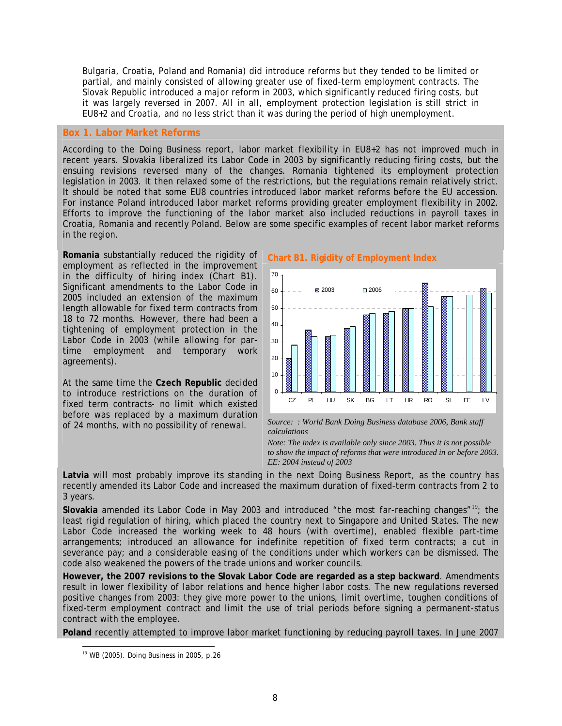Bulgaria, Croatia, Poland and Romania) did introduce reforms but they tended to be limited or partial, and mainly consisted of allowing greater use of fixed-term employment contracts. The Slovak Republic introduced a major reform in 2003, which significantly reduced firing costs, but it was largely reversed in 2007. All in all, employment protection legislation is still strict in EU8+2 and Croatia, and no less strict than it was during the period of high unemployment.

#### <span id="page-10-0"></span>**Box 1. Labor Market Reforms**

According to the Doing Business report, labor market flexibility in EU8+2 has not improved much in recent years. Slovakia liberalized its Labor Code in 2003 by significantly reducing firing costs, but the ensuing revisions reversed many of the changes. Romania tightened its employment protection legislation in 2003. It then relaxed some of the restrictions, but the regulations remain relatively strict. It should be noted that some EU8 countries introduced labor market reforms before the EU accession. For instance Poland introduced labor market reforms providing greater employment flexibility in 2002. Efforts to improve the functioning of the labor market also included reductions in payroll taxes in Croatia, Romania and recently Poland. Below are some specific examples of recent labor market reforms in the region.

**Romania** substantially reduced the rigidity of employment as reflected in the improvement in the difficulty of hiring index [\(Chart B1](#page-10-1)). Significant amendments to the Labor Code in 2005 included an extension of the maximum length allowable for fixed term contracts from 18 to 72 months. However, there had been a tightening of employment protection in the Labor Code in 2003 (while allowing for partime employment and temporary work agreements).

At the same time the **Czech Republic** decided to introduce restrictions on the duration of fixed term contracts- no limit which existed before was replaced by a maximum duration

<span id="page-10-1"></span>



of 24 months, with no possibility of renewal. *Source: : World Bank Doing Business database 2006, Bank staff calculations* 

> *Note: The index is available only since 2003. Thus it is not possible to show the impact of reforms that were introduced in or before 2003. EE: 2004 instead of 2003*

**Latvia** will most probably improve its standing in the next Doing Business Report, as the country has recently amended its Labor Code and increased the maximum duration of fixed-term contracts from 2 to 3 years.

Slovakia amended its Labor Code in May 2003 and introduced "the most far-reaching changes"<sup>[19](#page-10-2)</sup>; the least rigid regulation of hiring, which placed the country next to Singapore and United States. The new Labor Code increased the working week to 48 hours (with overtime), enabled flexible part-time arrangements; introduced an allowance for indefinite repetition of fixed term contracts; a cut in severance pay; and a considerable easing of the conditions under which workers can be dismissed. The code also weakened the powers of the trade unions and worker councils.

**However, the 2007 revisions to the Slovak Labor Code are regarded as a step backward**. Amendments result in lower flexibility of labor relations and hence higher labor costs. The new regulations reversed positive changes from 2003: they give more power to the unions, limit overtime, toughen conditions of fixed-term employment contract and limit the use of trial periods before signing a permanent-status contract with the employee.

**Poland** recently attempted to improve labor market functioning by reducing payroll taxes. In June 2007

<span id="page-10-2"></span><sup>&</sup>lt;sup>19</sup> WB (2005). Doing Business in 2005, p.26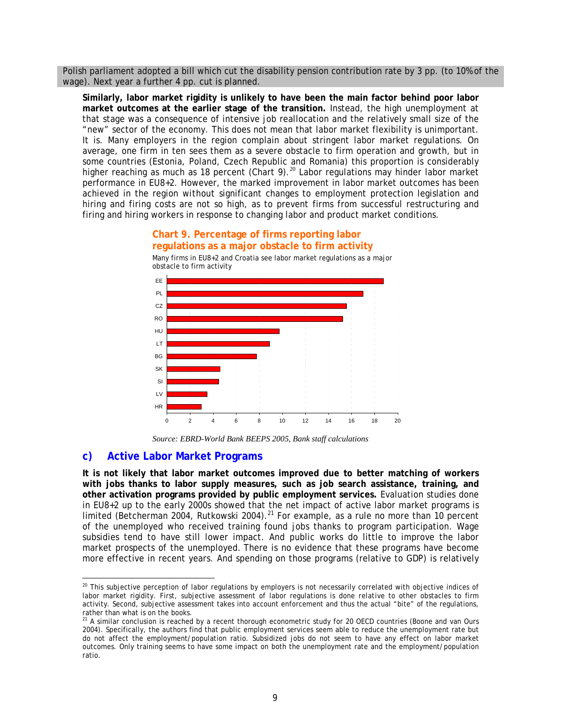Polish parliament adopted a bill which cut the disability pension contribution rate by 3 pp. (to 10% of the wage). Next year a further 4 pp. cut is planned.

**Similarly, labor market rigidity is unlikely to have been the main factor behind poor labor market outcomes at the earlier stage of the transition.** Instead, the high unemployment at that stage was a consequence of intensive job reallocation and the relatively small size of the "new" sector of the economy. This does not mean that labor market flexibility is unimportant. It is. Many employers in the region complain about stringent labor market regulations. On average, one firm in ten sees them as a severe obstacle to firm operation and growth, but in some countries (Estonia, Poland, Czech Republic and Romania) this proportion is considerably higher reaching as much as 18 percent ([Chart 9\)](#page-11-0). $^{20}$  Labor regulations may hinder labor market performance in EU8+2. However, the marked imp[rov](#page-11-1)ement in labor market outcomes has been achieved in the region *without* significant changes to employment protection legislation and hiring and firing costs are not so high, as to prevent firms from successful restructuring and firing and hiring workers in response to changing labor and product market conditions.

#### Many firms in EU8+2 and Croatia see labor market regulations as a major obstacle to firm activity 0 2 4 6 8 10 12 14 16 18 20 HR LV SI SK **BG** LT HU R<sub>O</sub>  $CZ$ PL EE

<span id="page-11-0"></span>**Chart 9. Percentage of firms reporting labor regulations as a major obstacle to firm activity** 

*Source: EBRD-World Bank BEEPS 2005, Bank staff calculations* 

#### **c) Active Labor Market Programs**

**It is not likely that labor market outcomes improved due to better matching of workers with jobs thanks to labor supply measures, such as job search assistance, training, and other activation programs provided by public employment services.** Evaluation studies done in EU8+2 up to the early 2000s showed that the net impact of active labor market programs is limited (Betcherman 2004, Rutkowski 2004).<sup>[21](#page-11-2)</sup> For example, as a rule no more than 10 percent of the unemployed who received training found jobs thanks to program participation. Wage subsidies tend to have still lower impact. And public works do little to improve the labor market prospects of the unemployed. There is no evidence that these programs have become more effective in recent years. And spending on those programs (relative to GDP) is relatively

<span id="page-11-1"></span><sup>20&</sup>lt;br><sup>20</sup> This subjective perception of labor regulations by employers is not necessarily correlated with objective indices of labor market rigidity. First, subjective assessment of labor regulations is done *relative* to other obstacles to firm activity. Second, subjective assessment takes into account enforcement and thus the actual "bite" of the regulations, rather than what is on the books.

<span id="page-11-2"></span> $2<sup>1</sup>$  A similar conclusion is reached by a recent thorough econometric study for 20 OECD countries (Boone and van Ours 2004). Specifically, the authors find that public employment services seem able to reduce the unemployment rate but do not affect the employment/population ratio. Subsidized jobs do not seem to have any effect on labor market outcomes. Only training seems to have some impact on both the unemployment rate and the employment/population ratio.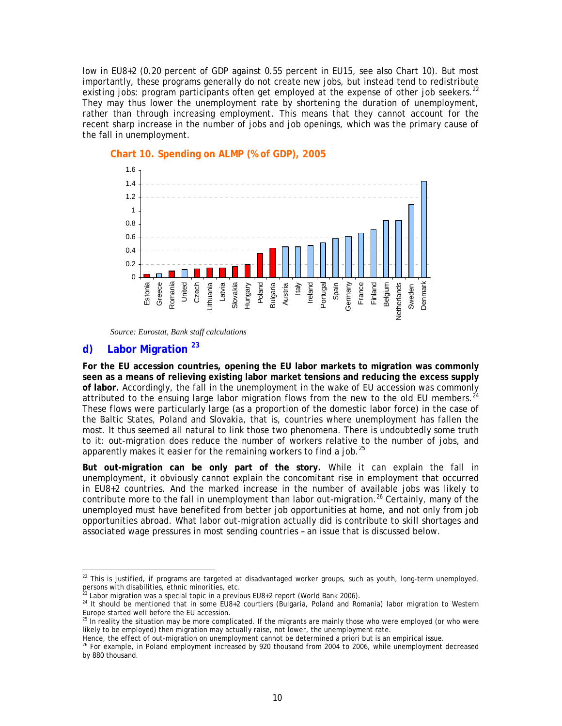low in EU8+2 (0.20 percent of GDP against 0.55 percent in EU15, see also [Chart 10\)](#page-12-0). But most importantly, these programs generally do not create new jobs, but instead tend to redistribute existing jobs: program participants often get employed at the expense of other job seekers.<sup>[22](#page-12-1)</sup> They may thus lower the unemployment rate by shortening the duration of unemployment, rather than through increasing employment. This means that they cannot account for the recent sharp increase in the number of jobs and job openings, which was the primary cause of the fall in unemployment.



#### <span id="page-12-0"></span>**Chart 10. Spending on ALMP (% of GDP), 2005**

*Source: Eurostat, Bank staff calculations* 

### d) Labor Migration<sup>[23](#page-12-2)</sup>

**For the EU accession countries, opening the EU labor markets to migration was commonly seen as a means of relieving existing labor market tensions and reducing the excess supply of labor.** Accordingly, the fall in the unemployment in the wake of EU accession was commonly attributed to the ensuing large labor migration flows from the new to the old EU members.<sup>[24](#page-12-3)</sup> These flows were particularly large (as a proportion of the domestic labor force) in the case of the Baltic States, Poland and Slovakia, that is, countries where unemployment has fallen the most. It thus seemed all natural to link those two phenomena. There is undoubtedly some truth to it: out-migration does reduce the number of workers relative to the number of jobs, and apparently makes it easier for the remaining workers to find a job. $^{25}$  $^{25}$  $^{25}$ 

**But out-migration can be only part of the story.** While it can explain the fall in unemployment, it obviously cannot explain the concomitant rise in employment that occurred in EU8+2 countries. And the marked increase in the number of available jobs was likely to contribute more to the fall in unemployment than labor out-migration.<sup>[26](#page-12-5)</sup> Certainly, many of the unemployed must have benefited from better job opportunities at home, and not only from job opportunities abroad. What labor out-migration actually did is contribute to skill shortages and associated wage pressures in most sending countries – an issue that is discussed below.

<span id="page-12-1"></span>end to this is justified, if programs are targeted at disadvantaged worker groups, such as youth, long-term unemployed,  $^{22}$  This is justified, if programs are targeted at disadvantaged worker groups, such as youth, long persons with disabilities, ethnic minorities, etc.<br><sup>23</sup> Labor migration was a special topic in a previous EU8+2 report (World Bank 2006).

<span id="page-12-2"></span>

<span id="page-12-3"></span><sup>&</sup>lt;sup>24</sup> It should be mentioned that in some EU8+2 courtiers (Bulgaria, Poland and Romania) labor migration to Western Europe started well before the EU accession.

<span id="page-12-4"></span> $25$  In reality the situation may be more complicated. If the migrants are mainly those who were employed (or who were likely to be employed) then migration may actually raise, not lower, the unemployment rate.

Hence, the effect of out-migration on unemployment cannot be determined a priori but is an empirical issue.

<span id="page-12-5"></span><sup>&</sup>lt;sup>26</sup> For example, in Poland employment increased by 920 thousand from 2004 to 2006, while unemployment decreased by 880 thousand.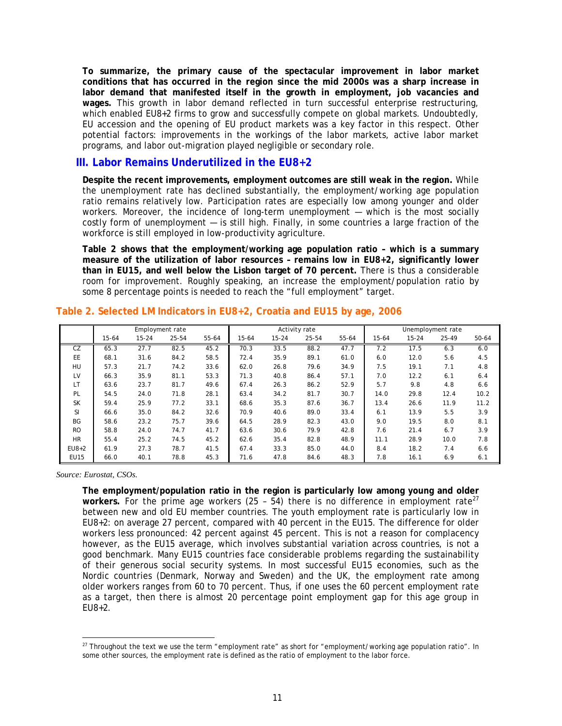**To summarize, the primary cause of the spectacular improvement in labor market conditions that has occurred in the region since the mid 2000s was a sharp increase in labor demand that manifested itself in the growth in employment, job vacancies and wages.** This growth in labor demand reflected in turn successful enterprise restructuring, which enabled EU8+2 firms to grow and successfully compete on global markets. Undoubtedly, EU accession and the opening of EU product markets was a key factor in this respect. Other potential factors: improvements in the workings of the labor markets, active labor market programs, and labor out-migration played negligible or secondary role.

#### **III. Labor Remains Underutilized in the EU8+2**

**Despite the recent improvements, employment outcomes are still weak in the region.** While the unemployment rate has declined substantially, the employment/working age population ratio remains relatively low. Participation rates are especially low among younger and older workers. Moreover, the incidence of long-term unemployment — which is the most socially costly form of unemployment — is still high. Finally, in some countries a large fraction of the workforce is still employed in low-productivity agriculture.

**[Table 2](#page-13-0) shows that the employment/working age population ratio – which is a summary measure of the utilization of labor resources – remains low in EU8+2, significantly lower than in EU15, and well below the Lisbon target of 70 percent.** There is thus a considerable room for improvement. Roughly speaking, an increase the employment/population ratio by some 8 percentage points is needed to reach the "full employment" target.

|               | Employment rate |           |       |           | Activity rate |           |       | Unemployment rate |           |           |       |       |
|---------------|-----------------|-----------|-------|-----------|---------------|-----------|-------|-------------------|-----------|-----------|-------|-------|
|               | $15 - 64$       | $15 - 24$ | 25-54 | $55 - 64$ | $15 - 64$     | $15 - 24$ | 25-54 | 55-64             | $15 - 64$ | $15 - 24$ | 25-49 | 50-64 |
| CZ            | 65.3            | 27.7      | 82.5  | 45.2      | 70.3          | 33.5      | 88.2  | 47.7              | 7.2       | 17.5      | 6.3   | 6.0   |
| <b>EE</b>     | 68.1            | 31.6      | 84.2  | 58.5      | 72.4          | 35.9      | 89.1  | 61.0              | 6.0       | 12.0      | 5.6   | 4.5   |
| HU            | 57.3            | 21.7      | 74.2  | 33.6      | 62.0          | 26.8      | 79.6  | 34.9              | 7.5       | 19.1      | 7.1   | 4.8   |
| LV            | 66.3            | 35.9      | 81.1  | 53.3      | 71.3          | 40.8      | 86.4  | 57.1              | 7.0       | 12.2      | 6.1   | 6.4   |
| LT            | 63.6            | 23.7      | 81.7  | 49.6      | 67.4          | 26.3      | 86.2  | 52.9              | 5.7       | 9.8       | 4.8   | 6.6   |
| PL            | 54.5            | 24.0      | 71.8  | 28.1      | 63.4          | 34.2      | 81.7  | 30.7              | 14.0      | 29.8      | 12.4  | 10.2  |
| <b>SK</b>     | 59.4            | 25.9      | 77.2  | 33.1      | 68.6          | 35.3      | 87.6  | 36.7              | 13.4      | 26.6      | 11.9  | 11.2  |
| <sup>SI</sup> | 66.6            | 35.0      | 84.2  | 32.6      | 70.9          | 40.6      | 89.0  | 33.4              | 6.1       | 13.9      | 5.5   | 3.9   |
| BG            | 58.6            | 23.2      | 75.7  | 39.6      | 64.5          | 28.9      | 82.3  | 43.0              | 9.0       | 19.5      | 8.0   | 8.1   |
| <b>RO</b>     | 58.8            | 24.0      | 74.7  | 41.7      | 63.6          | 30.6      | 79.9  | 42.8              | 7.6       | 21.4      | 6.7   | 3.9   |
| <b>HR</b>     | 55.4            | 25.2      | 74.5  | 45.2      | 62.6          | 35.4      | 82.8  | 48.9              | 11.1      | 28.9      | 10.0  | 7.8   |
| $EUB+2$       | 61.9            | 27.3      | 78.7  | 41.5      | 67.4          | 33.3      | 85.0  | 44.0              | 8.4       | 18.2      | 7.4   | 6.6   |
| <b>EU15</b>   | 66.0            | 40.1      | 78.8  | 45.3      | 71.6          | 47.8      | 84.6  | 48.3              | 7.8       | 16.1      | 6.9   | 6.1   |

#### <span id="page-13-0"></span>**Table 2. Selected LM Indicators in EU8+2, Croatia and EU15 by age, 2006**

*Source: Eurostat, CSOs.* 

**The employment/population ratio in the region is particularly low among young and older**  workers. For the prime age workers (25 -  $54$ ) there is no difference in employment rate<sup>27</sup> between new and old EU member countries. The youth employment rate is particularly low [in](#page-13-1)  EU8+2: on average 27 percent, compared with 40 percent in the EU15. The difference for older workers less pronounced: 42 percent against 45 percent. This is not a reason for complacency however, as the EU15 average, which involves substantial variation across countries, is not a good benchmark. Many EU15 countries face considerable problems regarding the sustainability of their generous social security systems. In most successful EU15 economies, such as the Nordic countries (Denmark, Norway and Sweden) and the UK, the employment rate among older workers ranges from 60 to 70 percent. Thus, if one uses the 60 percent employment rate as a target, then there is almost 20 percentage point employment gap for this age group in  $FUB + 2.$ 

<span id="page-13-1"></span>end the text we use the term "employment rate" as short for "employment/working age population ratio". In all the text we use the term "employment rate" as short for "employment/working age population ratio". In some other sources, the employment rate is defined as the ratio of employment to the labor force.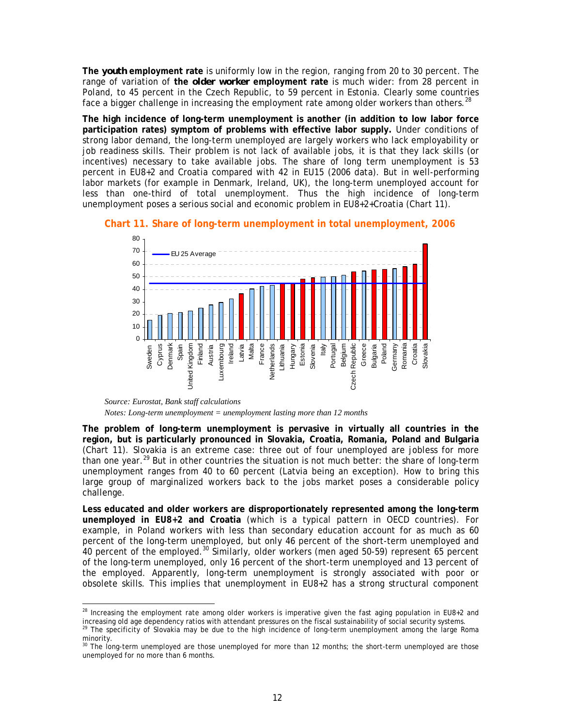**The** *youth* **employment rate** is uniformly low in the region, ranging from 20 to 30 percent. The range of variation of **the** *older worker* **employment rate** is much wider: from 28 percent in Poland, to 45 percent in the Czech Republic, to 59 percent in Estonia. Clearly some countries face a bigger challenge in increasing the employment rate among older workers than others.  $^{28}$  $^{28}$  $^{28}$ 

**The high incidence of long-term unemployment is another (in addition to low labor force participation rates) symptom of problems with effective labor supply.** Under conditions of strong labor demand, the long-term unemployed are largely workers who lack employability or job readiness skills. Their problem is not lack of available jobs, it is that they lack skills (or incentives) necessary to take available jobs. The share of long term unemployment is 53 percent in EU8+2 and Croatia compared with 42 in EU15 (2006 data). But in well-performing labor markets (for example in Denmark, Ireland, UK), the long-term unemployed account for less than one-third of total unemployment. Thus the high incidence of long-term unemployment poses a serious social and economic problem in EU8+2+Croatia [\(Chart 11\)](#page-14-0).



<span id="page-14-0"></span>**Chart 11. Share of long-term unemployment in total unemployment, 2006** 

**The problem of long-term unemployment is pervasive in virtually all countries in the region, but is particularly pronounced in Slovakia, Croatia, Romania, Poland and Bulgaria** ([Chart 11\)](#page-14-0). Slovakia is an extreme case: three out of four unemployed are jobless for more than one year.<sup>29</sup> But in other countries the situation is not much better: the share of long-term unemploymen[t ra](#page-14-2)nges from 40 to 60 percent (Latvia being an exception). How to bring this large group of marginalized workers back to the jobs market poses a considerable policy challenge.

**Less educated and older workers are disproportionately represented among the long-term unemployed in EU8+2 and Croatia** (which is a typical pattern in OECD countries). For example, in Poland workers with less than secondary education account for as much as 60 percent of the long-term unemployed, but only 46 percent of the short-term unemployed and  $40$  percent of the employed.<sup>30</sup> Similarly, older workers (men aged 50-59) represent 65 percent of the long-term unemploye[d, o](#page-14-3)nly 16 percent of the short-term unemployed and 13 percent of the employed. Apparently, long-term unemployment is strongly associated with poor or obsolete skills. This implies that unemployment in EU8+2 has a strong structural component

*Source: Eurostat, Bank staff calculations Notes: Long-term unemployment = unemployment lasting more than 12 months* 

<span id="page-14-1"></span> $\overline{a}^2$  Increasing the employment rate among older workers is imperative given the fast aging population in EU8+2 and increasing old age dependency ratios with attendant pressures on the fiscal sustainability of social security systems. 29The specificity of Slovakia may be due to the high incidence of long-term unemployment among the large Roma minority.

<span id="page-14-3"></span><span id="page-14-2"></span><sup>&</sup>lt;sup>30</sup> The long-term unemployed are those unemployed for more than 12 months; the short-term unemployed are those unemployed for no more than 6 months.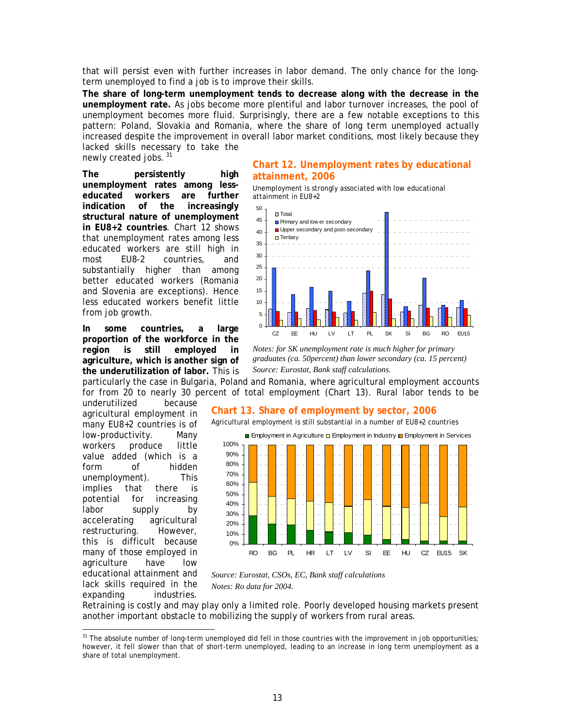that will persist even with further increases in labor demand. The only chance for the longterm unemployed to find a job is to improve their skills.

**The share of long-term unemployment tends to decrease along with the decrease in the unemployment rate.** As jobs become more plentiful and labor turnover increases, the pool of unemployment becomes more fluid. Surprisingly, there are a few notable exceptions to this pattern: Poland, Slovakia and Romania, where the share of long term unemployed actually increased despite the improvement in overall labor market conditions, most likely because they lacked skills necessary to take the

newly created jobs.<sup>[31](#page-15-1)</sup>

**The persistently high unemployment rates among lesseducated workers are further indication of the increasingly structural nature of unemployment in EU8+2 countries**. Chart 12 shows that unemployment rates among less educated workers are still high in most EU8-2 countries, and substantially higher than among better educated workers (Romania and Slovenia are exceptions). Hence less educated workers benefit little from job growth.

**In some countries, a large proportion of the workforce in the region is still employed in agriculture, which is another sign of the underutilization of labor.** This is

underutilized because agricultural employment in many EU8+2 countries is of low-productivity. Many workers produce little value added (which is a form of hidden unemployment). This implies that there is potential for increasing labor supply by accelerating agricultural restructuring. However, this is difficult because many of those employed in agriculture have low educational attainment and lack skills required in the expanding industries.

 $\overline{a}$ 

#### **Chart 12. Unemployment rates by educational attainment, 2006**

Unemployment is strongly associated with low educational attainment in EU8+2



*Notes: for SK unemployment rate is much higher for primary graduates (ca. 50percent) than lower secondary (ca. 15 percent) Source: Eurostat, Bank staff calculations.* 

particularly the case in Bulgaria, Poland and Romania, where agricultural employment accounts for from 20 to nearly 30 percent of total employment ([Chart 13\)](#page-15-0). Rural labor tends to be

#### <span id="page-15-0"></span>**Chart 13. Share of employment by sector, 2006**

Agricultural employment is still substantial in a number of EU8+2 countries



*Source: Eurostat, CSOs, EC, Bank staff calculations Notes: Ro data for 2004.* 

Retraining is costly and may play only a limited role. Poorly developed housing markets present another important obstacle to mobilizing the supply of workers from rural areas.

<span id="page-15-1"></span> $31$  The absolute number of long-term unemployed did fell in those countries with the improvement in job opportunities; however, it fell slower than that of short-term unemployed, leading to an increase in long term unemployment as a share of total unemployment.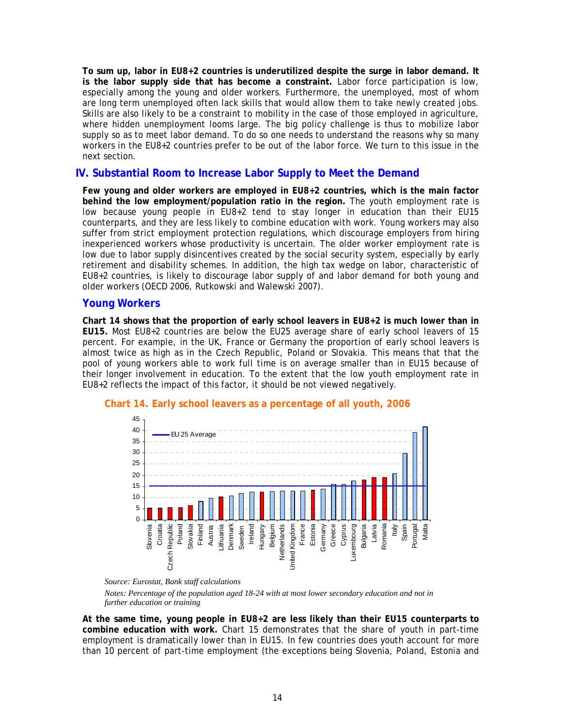**To sum up, labor in EU8+2 countries is underutilized despite the surge in labor demand. It is the labor supply side that has become a constraint.** Labor force participation is low, especially among the young and older workers. Furthermore, the unemployed, most of whom are long term unemployed often lack skills that would allow them to take newly created jobs. Skills are also likely to be a constraint to mobility in the case of those employed in agriculture, where hidden unemployment looms large. The big policy challenge is thus to mobilize labor supply so as to meet labor demand. To do so one needs to understand the reasons why so many workers in the EU8+2 countries prefer to be out of the labor force. We turn to this issue in the next section.

#### **IV. Substantial Room to Increase Labor Supply to Meet the Demand**

**Few young and older workers are employed in EU8+2 countries, which is the main factor behind the low employment/population ratio in the region.** The youth employment rate is low because young people in EU8+2 tend to stay longer in education than their EU15 counterparts, and they are less likely to combine education with work. Young workers may also suffer from strict employment protection regulations, which discourage employers from hiring inexperienced workers whose productivity is uncertain. The older worker employment rate is low due to labor supply disincentives created by the social security system, especially by early retirement and disability schemes. In addition, the high tax wedge on labor, characteristic of EU8+2 countries, is likely to discourage labor supply of and labor demand for both young and older workers (OECD 2006, Rutkowski and Walewski 2007).

#### **Young Workers**

**[Chart 14](#page-16-0) shows that the proportion of early school leavers in EU8+2 is much lower than in EU15.** Most EU8+2 countries are below the EU25 average share of early school leavers of 15 percent. For example, in the UK, France or Germany the proportion of early school leavers is almost twice as high as in the Czech Republic, Poland or Slovakia. This means that that the pool of young workers able to work full time is on average smaller than in EU15 because of their longer involvement in education. To the extent that the low youth employment rate in EU8+2 reflects the impact of this factor, it should be not viewed negatively.



#### <span id="page-16-0"></span>**Chart 14. Early school leavers as a percentage of all youth, 2006**

*Notes: Percentage of the population aged 18-24 with at most lower secondary education and not in further education or training* 

**At the same time, young people in EU8+2 are less likely than their EU15 counterparts to combine education with work.** Chart 15 demonstrates that the share of youth in part-time employment is dramatically lowe[r than in](#page-17-0) EU15. In few countries does youth account for more than 10 percent of part-time employment (the exceptions being Slovenia, Poland, Estonia and

*Source: Eurostat, Bank staff calculations*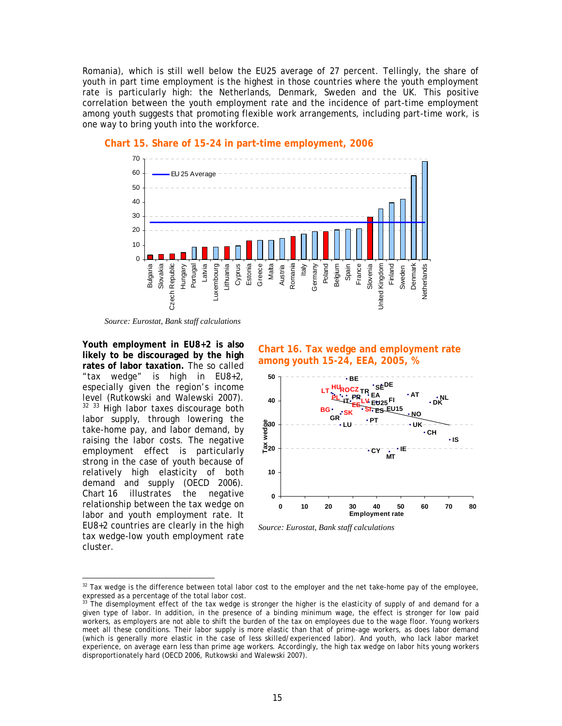Romania), which is still well below the EU25 average of 27 percent. Tellingly, the share of youth in part time employment is the highest in those countries where the youth employment rate is particularly high: the Netherlands, Denmark, Sweden and the UK. This positive correlation between the youth employment rate and the incidence of part-time employment among youth suggests that promoting flexible work arrangements, including part-time work, is one way to bring youth into the workforce.



#### <span id="page-17-0"></span>**Chart 15. Share of 15-24 in part-time employment, 2006**

*Source: Eurostat, Bank staff calculations* 

**Youth employment in EU8+2 is also likely to be discouraged by the high rates of labor taxation.** The so called "tax wedge" is high in EU8+2, especially given the region's income level (Rutkowski and Walewski 2007). <sup>[32](#page-17-2) [33](#page-17-3)</sup> High labor taxes discourage both labor supply, through lowering the take-home pay, and labor demand, by raising the labor costs. The negative employment effect is particularly strong in the case of youth because of relatively high elasticity of both demand and supply (OECD 2006). [Chart 16](#page-17-1) illustrates the negative relationship between the tax wedge on labor and youth employment rate. It EU8+2 countries are clearly in the high tax wedge-low youth employment rate cluster.

#### <span id="page-17-1"></span>**Chart 16. Tax wedge and employment rate among youth 15-24, EEA, 2005, %**



*Source: Eurostat, Bank staff calculations* 

<span id="page-17-2"></span><sup>&</sup>lt;sup>32</sup>Tax wedge is the difference between total labor cost to the employer and the net take-home pay of the employee, expressed as a percentage of the total labor cost.

<span id="page-17-3"></span> $33$  The disemployment effect of the tax wedge is stronger the higher is the elasticity of supply of and demand for a given type of labor. In addition, in the presence of a binding minimum wage, the effect is stronger for low paid workers, as employers are not able to shift the burden of the tax on employees due to the wage floor. Young workers meet all these conditions. Their labor supply is more elastic than that of prime-age workers, as does labor demand (which is generally more elastic in the case of less skilled/experienced labor). And youth, who lack labor market experience, on average earn less than prime age workers. Accordingly, the high tax wedge on labor hits young workers disproportionately hard (OECD 2006, Rutkowski and Walewski 2007).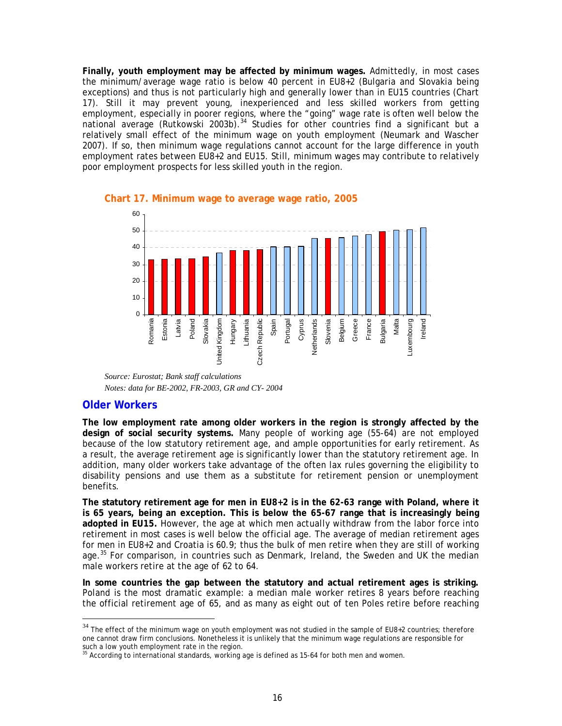**Finally, youth employment may be affected by minimum wages.** Admittedly, in most cases the minimum/average wage ratio is below 40 percent in EU8+2 (Bulgaria and Slovakia being exceptions) and thus is not particularly high and generally lower than in EU15 countries ([Chart](#page-18-0)  [17\)](#page-18-0). Still it may prevent young, inexperienced and less skilled workers from getting employment, especially in poorer regions, where the "going" wage rate is often well below the national average (Rutkowski 2003b).<sup>[34](#page-18-1)</sup> Studies for other countries find a significant but a relatively small effect of the minimum wage on youth employment (Neumark and Wascher 2007). If so, then minimum wage regulations cannot account for the large difference in youth employment rates between EU8+2 and EU15. Still, minimum wages may contribute to relatively poor employment prospects for less skilled youth in the region.



#### <span id="page-18-0"></span>**Chart 17. Minimum wage to average wage ratio, 2005**

*Source: Eurostat; Bank staff calculations Notes: data for BE-2002, FR-2003, GR and CY- 2004* 

#### **Older Workers**

 $\overline{a}$ 

**The low employment rate among older workers in the region is strongly affected by the design of social security systems.** Many people of working age (55-64) are not employed because of the low statutory retirement age, *and* ample opportunities for early retirement. As a result, the average retirement age is significantly lower than the statutory retirement age. In addition, many older workers take advantage of the often lax rules governing the eligibility to disability pensions and use them as a substitute for retirement pension or unemployment benefits.

**The statutory retirement age for men in EU8+2 is in the 62-63 range with Poland, where it is 65 years, being an exception. This is below the 65-67 range that is increasingly being adopted in EU15.** However, the age at which men *actually* withdraw from the labor force into retirement in most cases is well below the official age. The average of median retirement ages for men in EU8+2 and Croatia is 60.9; thus the bulk of men retire when they are still of working age.<sup>[35](#page-18-2)</sup> For comparison, in countries such as Denmark, Ireland, the Sweden and UK the median male workers retire at the age of 62 to 64.

**In some countries the gap between the statutory and actual retirement ages is striking.** Poland is the most dramatic example: a median male worker retires 8 years before reaching the official retirement age of 65, and as many as eight out of ten Poles retire before reaching

<span id="page-18-1"></span> $34$  The effect of the minimum wage on youth employment was not studied in the sample of EU8+2 countries; therefore one cannot draw firm conclusions. Nonetheless it is unlikely that the minimum wage regulations are responsible for

<span id="page-18-2"></span>such a low youth employment rate in the region.<br><sup>35</sup> According to international standards, working age is defined as 15-64 for both men and women.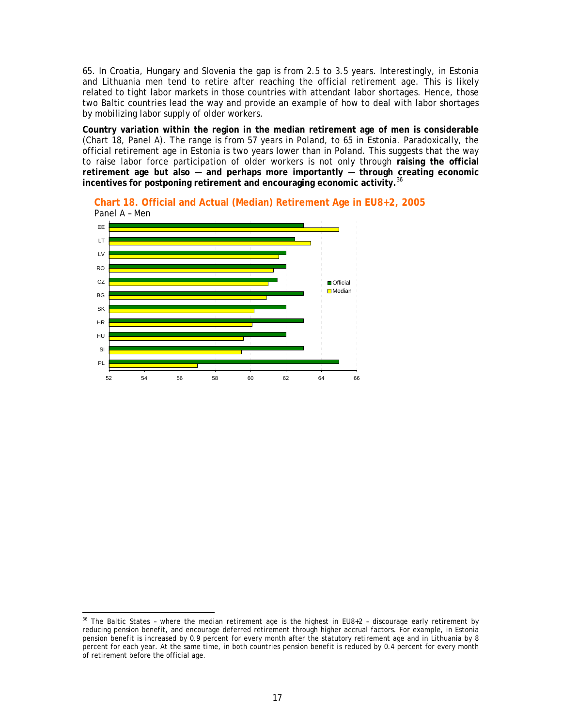65. In Croatia, Hungary and Slovenia the gap is from 2.5 to 3.5 years. Interestingly, in Estonia and Lithuania men tend to retire *after* reaching the official retirement age. This is likely related to tight labor markets in those countries with attendant labor shortages. Hence, those two Baltic countries lead the way and provide an example of how to deal with labor shortages by mobilizing labor supply of older workers.

**Country variation within the region in the median retirement age of men is considerable** ([Chart 18,](#page-19-0) Panel A). The range is from 57 years in Poland, to 65 in Estonia. Paradoxically, the official retirement age in Estonia is two years lower than in Poland. This suggests that the way to raise labor force participation of older workers is not only through **raising the official retirement age but also — and perhaps more importantly — through creating economic**  incentives for postponing retirement and encouraging economic activity.<sup>[36](#page-19-1)</sup>



<span id="page-19-0"></span>**Chart 18. Official and Actual (Median) Retirement Age in EU8+2, 2005**  Panel A – Men

<span id="page-19-1"></span><sup>&</sup>lt;sup>36</sup> The Baltic States – where the median retirement age is the highest in EU8+2 – discourage early retirement by reducing pension benefit, and encourage deferred retirement through higher accrual factors. For example, in Estonia pension benefit is increased by 0.9 percent for every month after the statutory retirement age and in Lithuania by 8 percent for each year. At the same time, in both countries pension benefit is reduced by 0.4 percent for every month of retirement before the official age.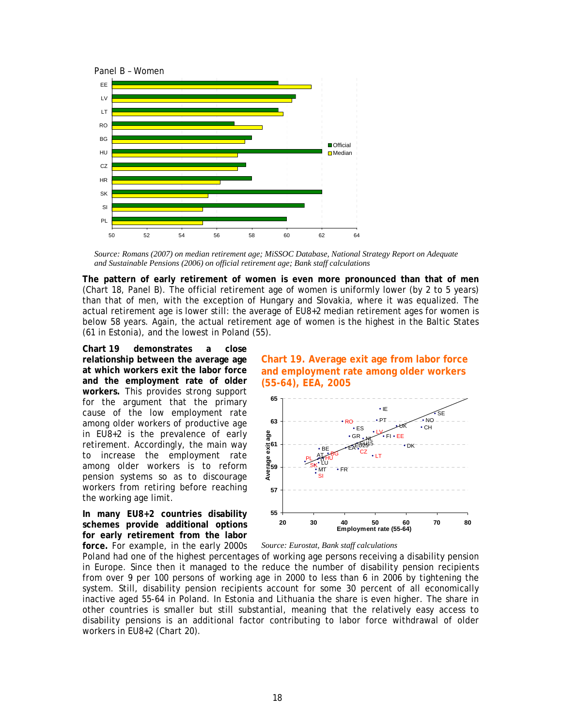

*Source: Romans (2007) on median retirement age; MiSSOC Database, National Strategy Report on Adequate and Sustainable Pensions (2006) on official retirement age; Bank staff calculations* 

**The pattern of early retirement of women is even more pronounced than that of men** (Chart 18, Panel B). The official retirement age of women is uniformly lower (by 2 to 5 years) t[han that](#page-19-0) of men, with the exception of Hungary and Slovakia, where it was equalized. The actual retirement age is lower still: the average of EU8+2 median retirement ages for women is below 58 years. Again, the actual retirement age of women is the highest in the Baltic States (61 in Estonia), and the lowest in Poland (55).

**[Chart 19](#page-20-0) demonstrates a close relationship between the average age at which workers exit the labor force and the employment rate of older workers.** This provides strong support for the argument that the primary cause of the low employment rate among older workers of productive age in EU8+2 is the prevalence of early retirement. Accordingly, the main way to increase the employment rate among older workers is to reform pension systems so as to discourage workers from retiring before reaching the working age limit.

**In many EU8+2 countries disability schemes provide additional options for early retirement from the labor force.** For example, in the early 2000s

<span id="page-20-0"></span>



*Source: Eurostat, Bank staff calculations* 

Poland had one of the highest percentages of working age persons receiving a disability pension in Europe. Since then it managed to the reduce the number of disability pension recipients from over 9 per 100 persons of working age in 2000 to less than 6 in 2006 by tightening the system. Still, disability pension recipients account for some 30 percent of all economically inactive aged 55-64 in Poland. In Estonia and Lithuania the share is even higher. The share in other countries is smaller but still substantial, meaning that the relatively easy access to disability pensions is an additional factor contributing to labor force withdrawal of older workers in EU8+2 [\(Chart 20\)](#page-21-0).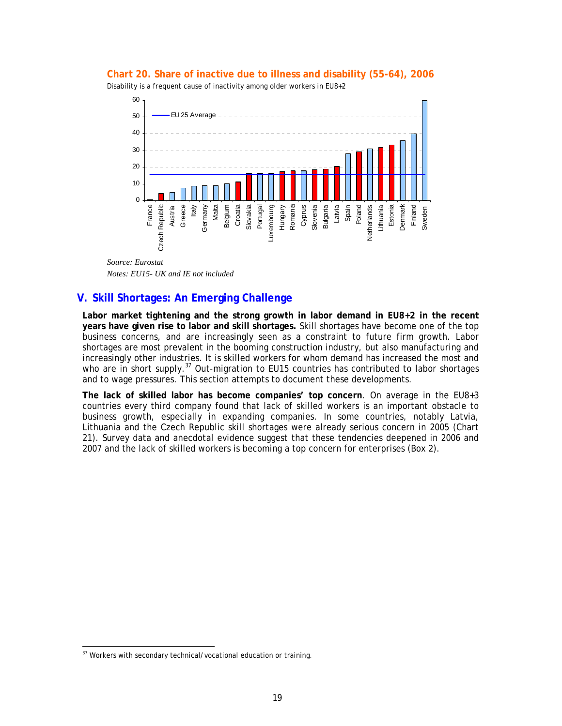

<span id="page-21-0"></span>

*Source: Eurostat Notes: EU15- UK and IE not included* 

### **V. Skill Shortages: An Emerging Challenge**

**Labor market tightening and the strong growth in labor demand in EU8+2 in the recent years have given rise to labor and skill shortages.** Skill shortages have become one of the top business concerns, and are increasingly seen as a constraint to future firm growth. Labor shortages are most prevalent in the booming construction industry, but also manufacturing and increasingly other industries. It is skilled workers for whom demand has increased the most and who are in short supply.<sup>[37](#page-21-1)</sup> Out-migration to EU15 countries has contributed to labor shortages and to wage pressures. This section attempts to document these developments.

**The lack of skilled labor has become companies' top concern**. On average in the EU8+3 countries every third company found that lack of skilled workers is an important obstacle to business growth, especially in expanding companies. In some countries, notably Latvia, Lithuania and the Czech Republic skill shortages were already serious concern in 2005 ([Chart](#page-22-0)  [21\)](#page-22-0). Survey data and anecdotal evidence suggest that these tendencies deepened in 2006 and 2007 and the lack of skilled workers is becoming a top concern for enterprises ([Box 2\)](#page-22-1).

<span id="page-21-1"></span><sup>&</sup>lt;sup>37</sup> Workers with secondary technical/vocational education or training.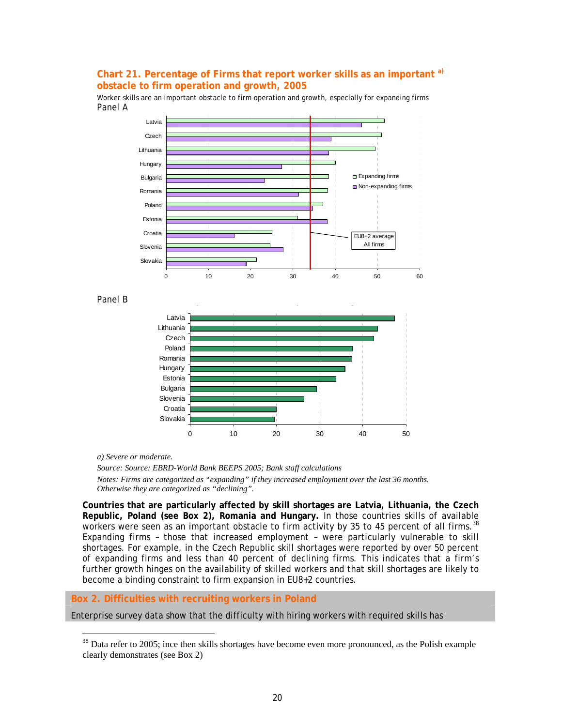#### <span id="page-22-0"></span>Chart 21. Percentage of Firms that report worker skills as an important <sup>a)</sup> **obstacle to firm operation and growth, 2005**

Worker skills are an important obstacle to firm operation and growth, especially for expanding firms Panel A



*a) Severe or moderate.* 

 $\overline{a}$ 

*Source: Source: EBRD-World Bank BEEPS 2005; Bank staff calculations Notes: Firms are categorized as "expanding" if they increased employment over the last 36 months. Otherwise they are categorized as "declining".* 

**Countries that are particularly affected by skill shortages are Latvia, Lithuania, the Czech Republic, Poland (see Box 2), Romania and Hungary.** In those countries skills of available workers were seen as an important obstacle to firm activity by 35 to 45 percent of all firms.<sup>38</sup> Expanding firms – those that increased employment – were particularly vulnerable to sk[ill](#page-22-2)  shortages. For example, in the Czech Republic skill shortages were reported by over 50 percent of expanding firms and less than 40 percent of declining firms. This indicates that a firm's further growth hinges on the availability of skilled workers and that skill shortages are likely to become a binding constraint to firm expansion in EU8+2 countries.

#### <span id="page-22-1"></span>**Box 2. Difficulties with recruiting workers in Poland**

Enterprise survey data show that the difficulty with hiring workers with required skills has

<span id="page-22-2"></span> $38$  Data refer to 2005; ince then skills shortages have become even more pronounced, as the Polish example clearly demonstrates (see Box 2)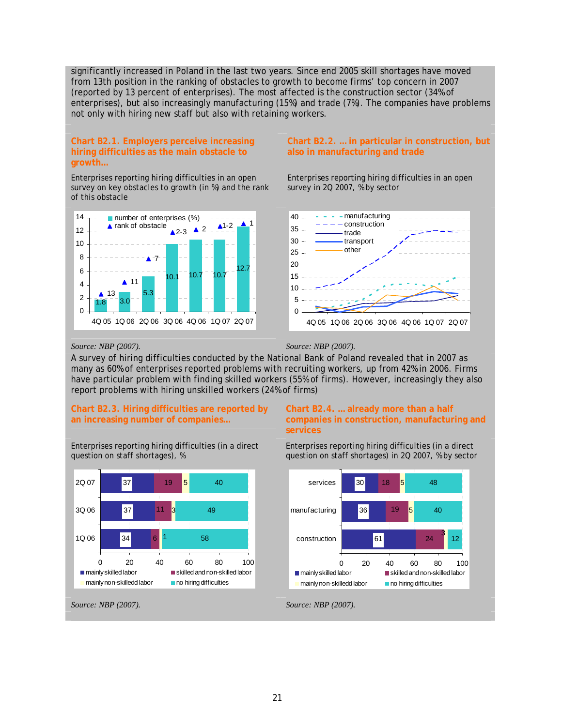significantly increased in Poland in the last two years. Since end 2005 skill shortages have moved from 13th position in the ranking of obstacles to growth to become firms' top concern in 2007 (reported by 13 percent of enterprises). The most affected is the construction sector (34% of enterprises), but also increasingly manufacturing (15%) and trade (7%). The companies have problems not only with hiring new staff but also with retaining workers.

#### **Chart B2.1. Employers perceive increasing hiring difficulties as the main obstacle to growth…**

Enterprises reporting hiring difficulties in an open survey on key obstacles to growth (in %) and the rank of this obstacle



#### **Chart B2.2. … in particular in construction, but also in manufacturing and trade**

Enterprises reporting hiring difficulties in an open survey in 2Q 2007, % by sector



#### *Source: NBP (2007). Source: NBP (2007).*

A survey of hiring difficulties conducted by the National Bank of Poland revealed that in 2007 as many as 60% of enterprises reported problems with recruiting workers, up from 42% in 2006. Firms have particular problem with finding skilled workers (55% of firms). However, increasingly they also report problems with hiring unskilled workers (24% of firms)

#### **Chart B2.3. Hiring difficulties are reported by an increasing number of companies…**

Enterprises reporting hiring difficulties (in a direct question on staff shortages), %



#### **Chart B2.4. … already more than a half companies in construction, manufacturing and services**

Enterprises reporting hiring difficulties (in a direct question on staff shortages) in 2Q 2007, % by sector

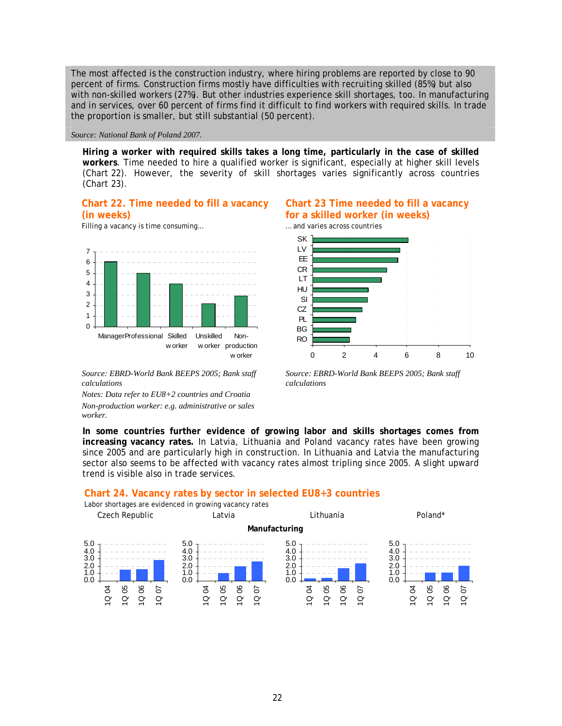The most affected is the construction industry, where hiring problems are reported by close to 90 percent of firms. Construction firms mostly have difficulties with recruiting skilled (85%) but also with non-skilled workers (27%). But other industries experience skill shortages, too. In manufacturing and in services, over 60 percent of firms find it difficult to find workers with required skills. In trade the proportion is smaller, but still substantial (50 percent).

*Source: National Bank of Poland 2007.* 

**Hiring a worker with required skills takes a long time, particularly in the case of skilled workers**. Time needed to hire a qualified worker is significant, especially at higher skill levels (Chart 22). However, the severity of skill shortages varies significantly across countries ([Chart 23\)](#page-24-0).

#### <span id="page-24-0"></span>**Chart 22. Time needed to fill a vacancy (in weeks)**

Filling a vacancy is time consuming... **Example 20 and varies across countries** 



*Source: EBRD-World Bank BEEPS 2005; Bank staff calculations* 

*Notes: Data refer to EU8+2 countries and Croatia Non-production worker: e.g. administrative or sales worker.* 

#### <span id="page-24-1"></span>**Chart 23 Time needed to fill a vacancy for a skilled worker (in weeks)**





*Source: EBRD-World Bank BEEPS 2005; Bank staff calculations* 

**In some countries further evidence of growing labor and skills shortages comes from increasing vacancy rates.** In Latvia, Lithuania and Poland vacancy rates have been growing since 2005 and are particularly high in construction. In Lithuania and Latvia the manufacturing sector also seems to be affected with vacancy rates almost tripling since 2005. A slight upward trend is visible also in trade services.

#### **Chart 24. Vacancy rates by sector in selected EU8+3 countries**



Labor shortages are evidenced in growing vacancy rates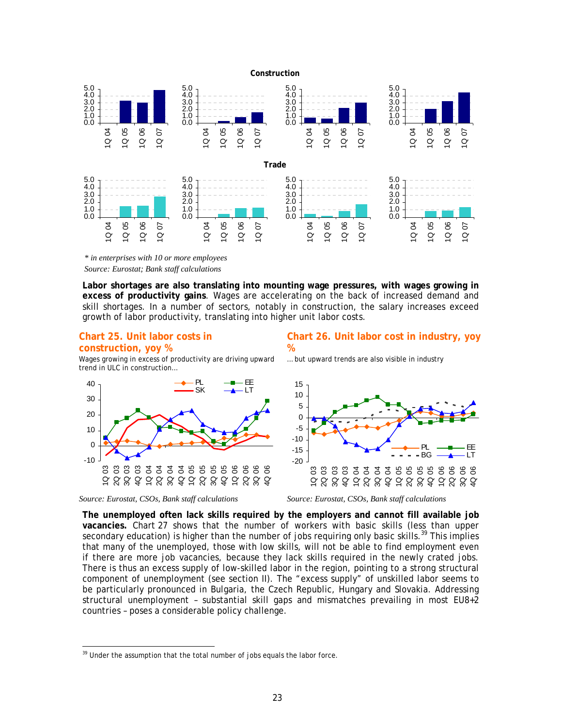



**Labor shortages are also translating into mounting wage pressures, with wages growing in excess of productivity gains**. Wages are accelerating on the back of increased demand and skill shortages. In a number of sectors, notably in construction, the salary increases exceed growth of labor productivity, translating into higher unit labor costs.

#### **Chart 25. Unit labor costs in construction, yoy %**

Wages growing in excess of productivity are driving upward trend in ULC in construction…



**Chart 26. Unit labor cost in industry, yoy %** 

… but upward trends are also visible in industry



*Source: Eurostat, CSOs, Bank staff calculations Source: Eurostat, CSOs, Bank staff calculations* 

**The unemployed often lack skills required by the employers and cannot fill available job vacancies.** Chart 27 shows that the number of workers with basic skills (less than upper secondary e[ducation\)](#page-26-0) is higher than the number of jobs requiring only basic skills.<sup>39</sup> This implies that many of the unemployed, those with low skills, will not be able to find em[plo](#page-25-0)yment even if there are more job vacancies, because they lack skills required in the newly crated jobs. There is thus an excess supply of low-skilled labor in the region, pointing to a strong structural component of unemployment (see section II). The "excess supply" of unskilled labor seems to be particularly pronounced in Bulgaria, the Czech Republic, Hungary and Slovakia. Addressing structural unemployment – substantial skill gaps and mismatches prevailing in most EU8+2 countries – poses a considerable policy challenge.

<span id="page-25-0"></span> $\frac{39}{29}$  Under the assumption that the total number of jobs equals the labor force.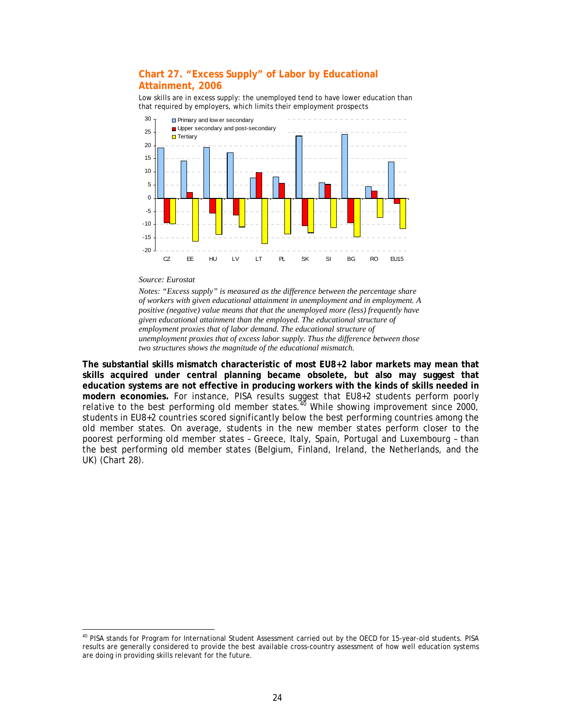#### <span id="page-26-0"></span>**Chart 27. "Excess Supply" of Labor by Educational Attainment, 2006**

Low skills are in excess supply: the unemployed tend to have lower education than that required by employers, which limits their employment prospects



#### *Source: Eurostat*

 $\overline{a}$ 

*Notes: "Excess supply" is measured as the difference between the percentage share of workers with given educational attainment in unemployment and in employment. A positive (negative) value means that that the unemployed more (less) frequently have given educational attainment than the employed. The educational structure of employment proxies that of labor demand. The educational structure of unemployment proxies that of excess labor supply. Thus the difference between those two structures shows the magnitude of the educational mismatch.* 

**The substantial skills mismatch characteristic of most EU8+2 labor markets may mean that skills acquired under central planning became obsolete, but also may suggest that education systems are not effective in producing workers with the kinds of skills needed in modern economies.** For instance, PISA results suggest that EU8+2 students perform poorly relative to the best performing old member states.  $40$  While showing improvement since 2000, students in EU8+2 countries scored significantly belo[w](#page-26-1) the best performing countries among the old member states. On average, students in the new member states perform closer to the poorest performing old member states – Greece, Italy, Spain, Portugal and Luxembourg – than the best performing old member states (Belgium, Finland, Ireland, the Netherlands, and the UK) [\(Chart 28\)](#page-27-0).

<span id="page-26-1"></span><sup>&</sup>lt;sup>40</sup> PISA stands for Program for International Student Assessment carried out by the OECD for 15-year-old students. PISA results are generally considered to provide the best available cross-country assessment of how well education systems are doing in providing skills relevant for the future.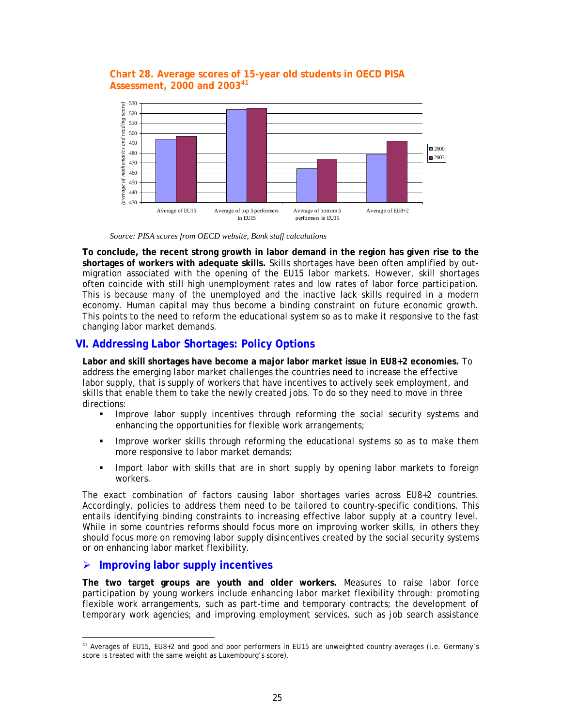#### <span id="page-27-0"></span>**Chart 28. Average scores of 15-year old students in OECD PISA Assessment, 2000 and 2003**<sup>[41](#page-27-1)</sup>



*Source: PISA scores from OECD website, Bank staff calculations* 

**To conclude, the recent strong growth in labor demand in the region has given rise to the shortages of workers with adequate skills.** Skills shortages have been often amplified by outmigration associated with the opening of the EU15 labor markets. However, skill shortages often coincide with still high unemployment rates and low rates of labor force participation. This is because many of the unemployed and the inactive lack skills required in a modern economy. Human capital may thus become a binding constraint on future economic growth. This points to the need to reform the educational system so as to make it responsive to the fast changing labor market demands.

### **VI. Addressing Labor Shortages: Policy Options**

**Labor and skill shortages have become a major labor market issue in EU8+2 economies.** To address the emerging labor market challenges the countries need to increase the *effective* labor supply, that is supply of workers that have incentives to actively seek employment, and skills that enable them to take the newly created jobs. To do so they need to move in three directions:

- **IMPROVE LABOR SUPPLY INCENTIVES through reforming the social security systems and** enhancing the opportunities for flexible work arrangements;
- **IMPROVE WORKER SKILLS through reforming the educational systems so as to make them** more responsive to labor market demands;
- **IMPORTED 10 IMPORT 10 IMPORT 10 IMPORT 10 IMPORT 10 IMPORT 10 IMPORT 10 IMPORT 10 IMPORT 10 IMPORT 10 IMPORT 10 IMPORT 10 IMPORT 10 IMPORT 10 IMPORT 10 IMPORT 10 IMPORT 10 IMPORT 10 IMPORT 10 IMPORT 10 IMPORT 10 IMPORT 10** workers.

The exact combination of factors causing labor shortages varies across EU8+2 countries. Accordingly, policies to address them need to be tailored to country-specific conditions. This entails identifying binding constraints to increasing effective labor supply at a country level. While in some countries reforms should focus more on improving worker skills, in others they should focus more on removing labor supply disincentives created by the social security systems or on enhancing labor market flexibility.

#### ¾ **Improving labor supply incentives**

**The two target groups are youth and older workers.** Measures to raise labor force participation by *young workers* include enhancing labor market flexibility through: promoting flexible work arrangements, such as part-time and temporary contracts; the development of temporary work agencies; and improving employment services, such as job search assistance

<span id="page-27-1"></span><sup>11&</sup>lt;br>Averages of EU15, EU8+2 and good and poor performers in EU15 are unweighted country averages (i.e. Germany's score is treated with the same weight as Luxembourg's score).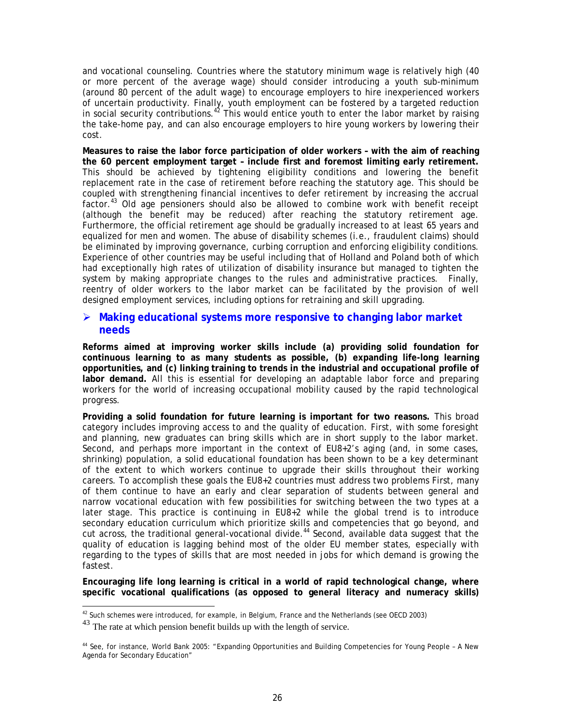and vocational counseling. Countries where the statutory minimum wage is relatively high (40 or more percent of the average wage) should consider introducing a youth sub-minimum (around 80 percent of the adult wage) to encourage employers to hire inexperienced workers of uncertain productivity. Finally, youth employment can be fostered by a targeted reduction in social security contributions.<sup>[42](#page-28-0)</sup> This would entice youth to enter the labor market by raising the take-home pay, and can also encourage employers to hire young workers by lowering their cost.

**Measures to raise the labor force participation of older workers – with the aim of reaching the 60 percent employment target – include first and foremost limiting early retirement.**  This should be achieved by tightening eligibility conditions and lowering the benefit replacement rate in the case of retirement before reaching the statutory age. This should be coupled with strengthening financial incentives to defer retirement by increasing the accrual factor.<sup>[43](#page-28-1)</sup> Old age pensioners should also be allowed to combine work with benefit receipt (although the benefit may be reduced) after reaching the statutory retirement age. Furthermore, the official retirement age should be gradually increased to at least 65 years and equalized for men and women. The abuse of disability schemes (i.e., fraudulent claims) should be eliminated by improving governance, curbing corruption and enforcing eligibility conditions. Experience of other countries may be useful including that of Holland and Poland both of which had exceptionally high rates of utilization of disability insurance but managed to tighten the system by making appropriate changes to the rules and administrative practices. Finally, reentry of older workers to the labor market can be facilitated by the provision of well designed employment services, including options for retraining and skill upgrading.

#### ¾ **Making educational systems more responsive to changing labor market needs**

**Reforms aimed at improving worker skills include (a) providing solid foundation for continuous learning to as many students as possible, (b) expanding life-long learning opportunities, and (c) linking training to trends in the industrial and occupational profile of labor demand.** All this is essential for developing an adaptable labor force and preparing workers for the world of increasing occupational mobility caused by the rapid technological progress.

**Providing a solid foundation for future learning is important for two reasons.** This broad category includes improving access to and the quality of education. First, with some foresight and planning, new graduates can bring skills which are in short supply to the labor market. Second, and perhaps more important in the context of EU8+2's aging (and, in some cases, shrinking) population, a solid educational foundation has been shown to be a key determinant of the extent to which workers continue to upgrade their skills throughout their working careers. To accomplish these goals the EU8+2 countries must address two problems First, many of them continue to have an early and clear separation of students between general and narrow vocational education with few possibilities for switching between the two types at a later stage. This practice is continuing in EU8+2 while the global trend is to introduce secondary education curriculum which prioritize skills and competencies that go beyond, and cut across, the traditional general-vocational divide.<sup>[44](#page-28-2)</sup> Second, available data suggest that the quality of education is lagging behind most of the older EU member states, especially with regarding to the types of skills that are most needed in jobs for which demand is growing the fastest.

**Encouraging life long learning is critical in a world of rapid technological change, where specific vocational qualifications (as opposed to general literacy and numeracy skills)** 

a<br><sup>42</sup> Such schemes were introduced, for example, in Belgium, France and the Netherlands (see OECD 2003)

<span id="page-28-1"></span><span id="page-28-0"></span> $43$  The rate at which pension benefit builds up with the length of service.

<span id="page-28-2"></span><sup>&</sup>lt;sup>44</sup> See, for instance, World Bank 2005: "Expanding Opportunities and Building Competencies for Young People - A New Agenda for Secondary Education"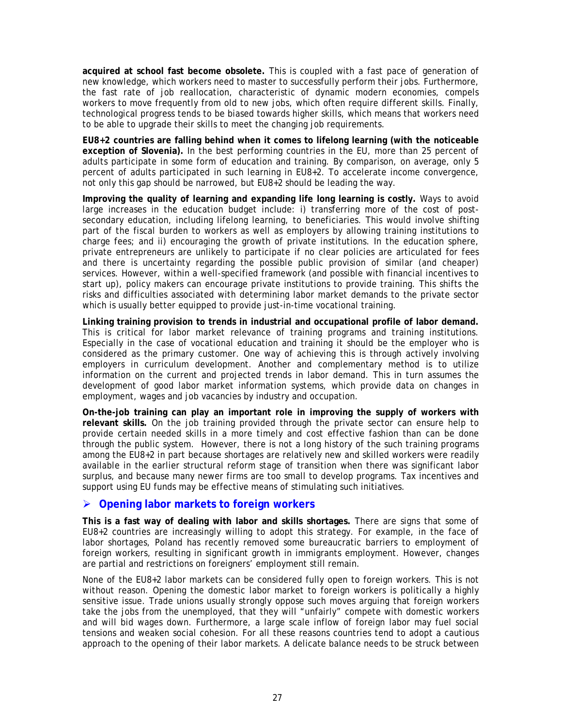**acquired at school fast become obsolete.** This is coupled with a fast pace of generation of new knowledge, which workers need to master to successfully perform their jobs. Furthermore, the fast rate of job reallocation, characteristic of dynamic modern economies, compels workers to move frequently from old to new jobs, which often require different skills. Finally, technological progress tends to be biased towards higher skills, which means that workers need to be able to upgrade their skills to meet the changing job requirements.

**EU8+2 countries are falling behind when it comes to lifelong learning (with the noticeable exception of Slovenia).** In the best performing countries in the EU, more than 25 percent of adults participate in some form of education and training. By comparison, on average, only 5 percent of adults participated in such learning in EU8+2. To accelerate income convergence, not only this gap should be narrowed, but EU8+2 should be leading the way.

**Improving the quality of learning and expanding life long learning is costly.** Ways to avoid large increases in the education budget include: i) transferring more of the cost of postsecondary education, including lifelong learning, to beneficiaries. This would involve shifting part of the fiscal burden to workers as well as employers by allowing training institutions to charge fees; and ii) encouraging the growth of private institutions. In the education sphere, private entrepreneurs are unlikely to participate if no clear policies are articulated for fees and there is uncertainty regarding the possible public provision of similar (and cheaper) services. However, within a well-specified framework (and possible with financial incentives to start up), policy makers can encourage private institutions to provide training. This shifts the risks and difficulties associated with determining labor market demands to the private sector which is usually better equipped to provide just-in-time vocational training.

**Linking training provision to trends in industrial and occupational profile of labor demand.** This is critical for labor market relevance of training programs and training institutions. Especially in the case of vocational education and training it should be the employer who is considered as the primary customer. One way of achieving this is through actively involving employers in curriculum development. Another and complementary method is to utilize information on the current and projected trends in labor demand. This in turn assumes the development of good labor market information systems, which provide data on changes in employment, wages and job vacancies by industry and occupation.

**On-the-job training can play an important role in improving the supply of workers with relevant skills.** On the job training provided through the private sector can ensure help to provide certain needed skills in a more timely and cost effective fashion than can be done through the public system. However, there is not a long history of the such training programs among the EU8+2 in part because shortages are relatively new and skilled workers were readily available in the earlier structural reform stage of transition when there was significant labor surplus, and because many newer firms are too small to develop programs. Tax incentives and support using EU funds may be effective means of stimulating such initiatives.

#### ¾ **Opening labor markets to foreign workers**

**This is a fast way of dealing with labor and skills shortages.** There are signs that some of EU8+2 countries are increasingly willing to adopt this strategy. For example, in the face of labor shortages, Poland has recently removed some bureaucratic barriers to employment of foreign workers, resulting in significant growth in immigrants employment. However, changes are partial and restrictions on foreigners' employment still remain.

None of the EU8+2 labor markets can be considered fully open to foreign workers. This is not without reason. Opening the domestic labor market to foreign workers is politically a highly sensitive issue. Trade unions usually strongly oppose such moves arguing that foreign workers take the jobs from the unemployed, that they will "unfairly" compete with domestic workers and will bid wages down. Furthermore, a large scale inflow of foreign labor may fuel social tensions and weaken social cohesion. For all these reasons countries tend to adopt a cautious approach to the opening of their labor markets. A delicate balance needs to be struck between